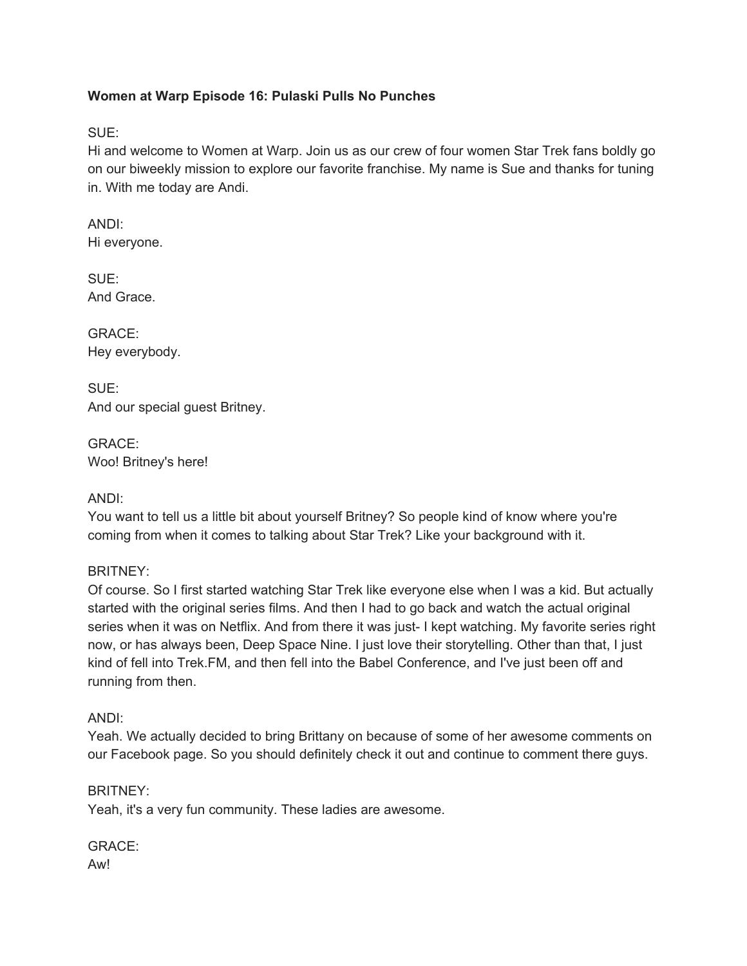# **Women at Warp Episode 16: Pulaski Pulls No Punches**

SUE:

Hi and welcome to Women at Warp. Join us as our crew of four women Star Trek fans boldly go on our biweekly mission to explore our favorite franchise. My name is Sue and thanks for tuning in. With me today are Andi.

ANDI: Hi everyone.

SUE: And Grace.

GRACE: Hey everybody.

SUE: And our special guest Britney.

GRACE: Woo! Britney's here!

ANDI:

You want to tell us a little bit about yourself Britney? So people kind of know where you're coming from when it comes to talking about Star Trek? Like your background with it.

BRITNEY:

Of course. So I first started watching Star Trek like everyone else when I was a kid. But actually started with the original series films. And then I had to go back and watch the actual original series when it was on Netflix. And from there it was just- I kept watching. My favorite series right now, or has always been, Deep Space Nine. I just love their storytelling. Other than that, I just kind of fell into Trek.FM, and then fell into the Babel Conference, and I've just been off and running from then.

ANDI:

Yeah. We actually decided to bring Brittany on because of some of her awesome comments on our Facebook page. So you should definitely check it out and continue to comment there guys.

BRITNEY:

Yeah, it's a very fun community. These ladies are awesome.

GRACE: Aw!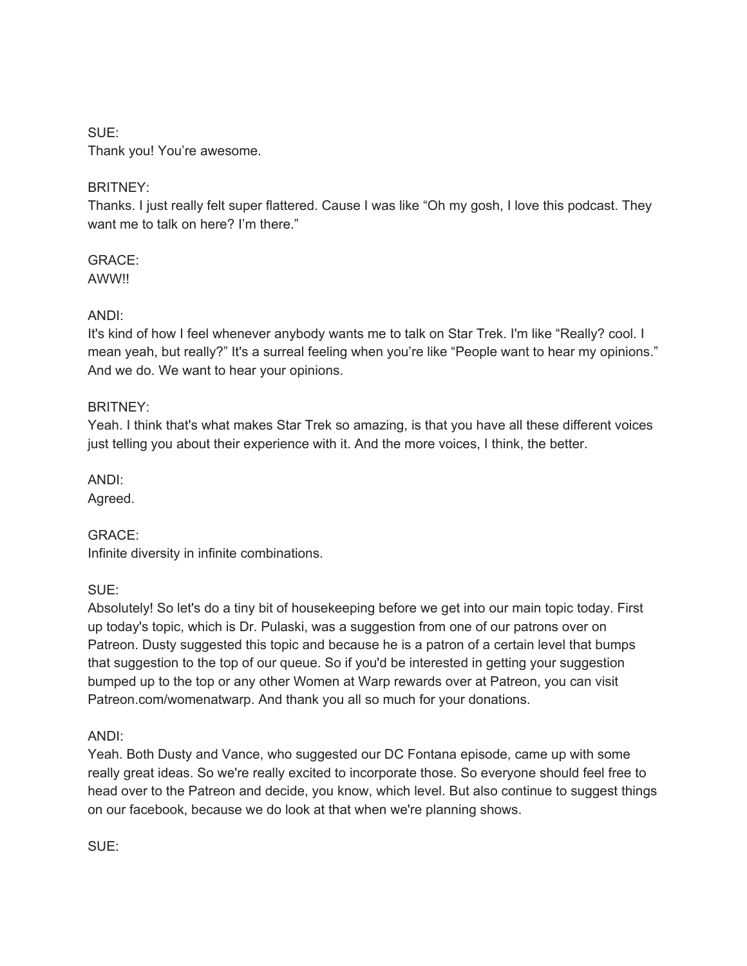# SUE: Thank you! You're awesome.

# BRITNEY:

Thanks. I just really felt super flattered. Cause I was like "Oh my gosh, I love this podcast. They want me to talk on here? I'm there."

GRACE: AWW!!

# ANDI:

It's kind of how I feel whenever anybody wants me to talk on Star Trek. I'm like "Really? cool. I mean yeah, but really?" It's a surreal feeling when you're like "People want to hear my opinions." And we do. We want to hear your opinions.

# BRITNEY:

Yeah. I think that's what makes Star Trek so amazing, is that you have all these different voices just telling you about their experience with it. And the more voices, I think, the better.

ANDI:

Agreed.

GRACE: Infinite diversity in infinite combinations.

SUE:

Absolutely! So let's do a tiny bit of housekeeping before we get into our main topic today. First up today's topic, which is Dr. Pulaski, was a suggestion from one of our patrons over on Patreon. Dusty suggested this topic and because he is a patron of a certain level that bumps that suggestion to the top of our queue. So if you'd be interested in getting your suggestion bumped up to the top or any other Women at Warp rewards over at Patreon, you can visit Patreon.com/womenatwarp. And thank you all so much for your donations.

ANDI:

Yeah. Both Dusty and Vance, who suggested our DC Fontana episode, came up with some really great ideas. So we're really excited to incorporate those. So everyone should feel free to head over to the Patreon and decide, you know, which level. But also continue to suggest things on our facebook, because we do look at that when we're planning shows.

SUE: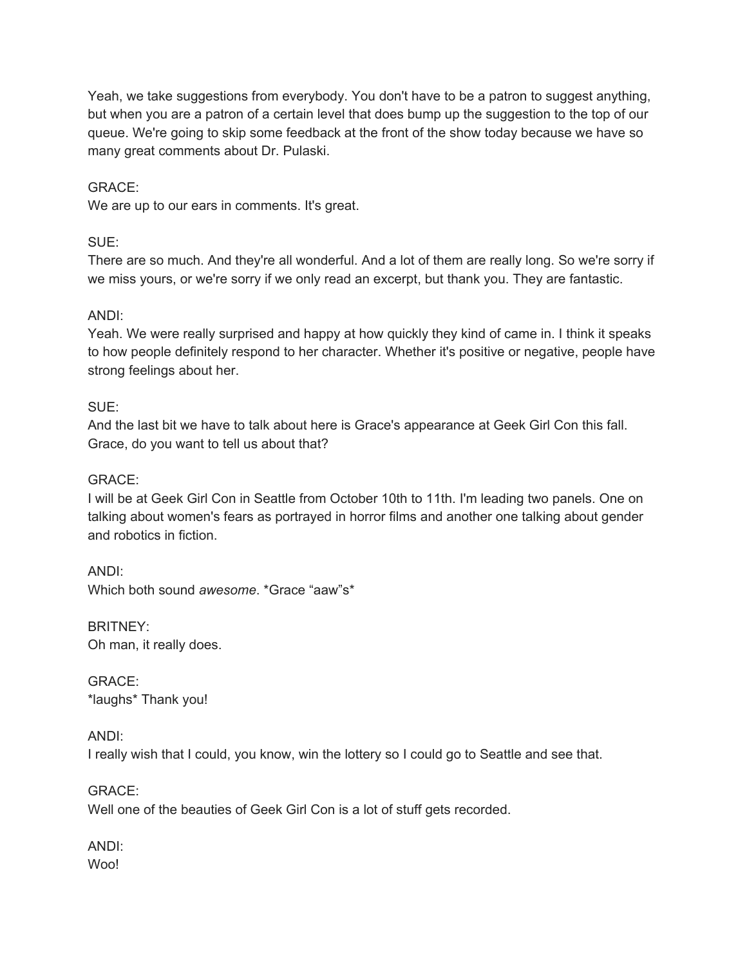Yeah, we take suggestions from everybody. You don't have to be a patron to suggest anything, but when you are a patron of a certain level that does bump up the suggestion to the top of our queue. We're going to skip some feedback at the front of the show today because we have so many great comments about Dr. Pulaski.

### GRACE:

We are up to our ears in comments. It's great.

# SUE:

There are so much. And they're all wonderful. And a lot of them are really long. So we're sorry if we miss yours, or we're sorry if we only read an excerpt, but thank you. They are fantastic.

### ANDI:

Yeah. We were really surprised and happy at how quickly they kind of came in. I think it speaks to how people definitely respond to her character. Whether it's positive or negative, people have strong feelings about her.

### SUE:

And the last bit we have to talk about here is Grace's appearance at Geek Girl Con this fall. Grace, do you want to tell us about that?

#### GRACE:

I will be at Geek Girl Con in Seattle from October 10th to 11th. I'm leading two panels. One on talking about women's fears as portrayed in horror films and another one talking about gender and robotics in fiction.

ANDI: Which both sound *awesome*. \*Grace "aaw"s\*

BRITNEY: Oh man, it really does.

GRACE: \*laughs\* Thank you!

ANDI:

I really wish that I could, you know, win the lottery so I could go to Seattle and see that.

GRACE:

Well one of the beauties of Geek Girl Con is a lot of stuff gets recorded.

ANDI: Woo!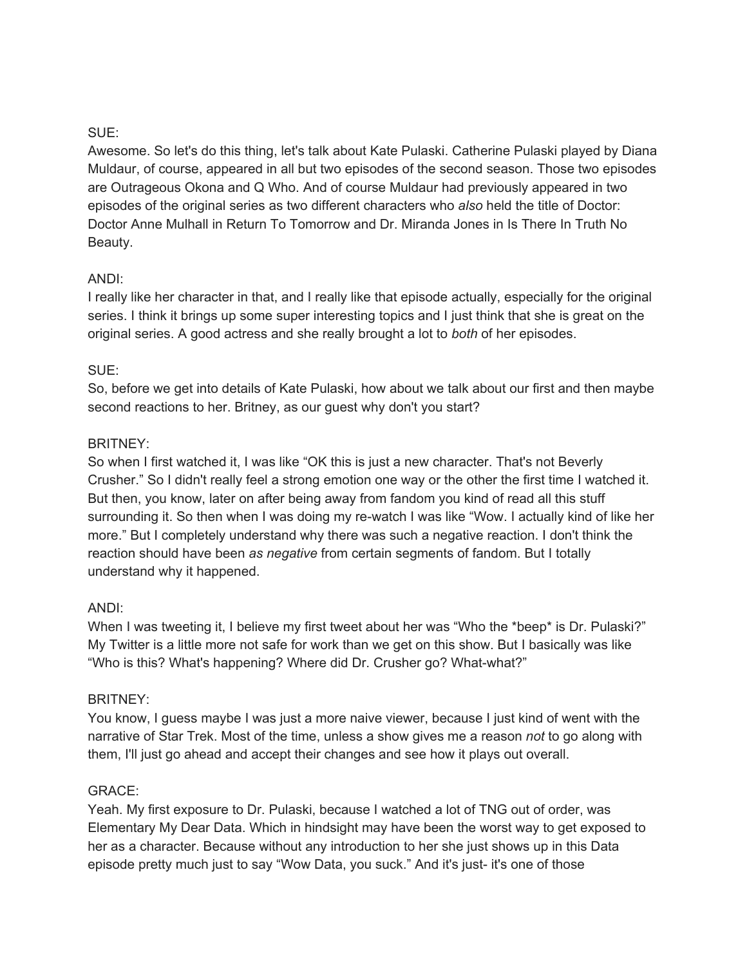# SUE:

Awesome. So let's do this thing, let's talk about Kate Pulaski. Catherine Pulaski played by Diana Muldaur, of course, appeared in all but two episodes of the second season. Those two episodes are Outrageous Okona and Q Who. And of course Muldaur had previously appeared in two episodes of the original series as two different characters who *also* held the title of Doctor: Doctor Anne Mulhall in Return To Tomorrow and Dr. Miranda Jones in Is There In Truth No Beauty.

# ANDI:

I really like her character in that, and I really like that episode actually, especially for the original series. I think it brings up some super interesting topics and I just think that she is great on the original series. A good actress and she really brought a lot to *both* of her episodes.

# SUE:

So, before we get into details of Kate Pulaski, how about we talk about our first and then maybe second reactions to her. Britney, as our guest why don't you start?

# BRITNEY:

So when I first watched it, I was like "OK this is just a new character. That's not Beverly Crusher." So I didn't really feel a strong emotion one way or the other the first time I watched it. But then, you know, later on after being away from fandom you kind of read all this stuff surrounding it. So then when I was doing my re-watch I was like "Wow. I actually kind of like her more." But I completely understand why there was such a negative reaction. I don't think the reaction should have been *as negative* from certain segments of fandom. But I totally understand why it happened.

# ANDI:

When I was tweeting it, I believe my first tweet about her was "Who the \*beep\* is Dr. Pulaski?" My Twitter is a little more not safe for work than we get on this show. But I basically was like "Who is this? What's happening? Where did Dr. Crusher go? What-what?"

# BRITNEY:

You know, I guess maybe I was just a more naive viewer, because I just kind of went with the narrative of Star Trek. Most of the time, unless a show gives me a reason *not* to go along with them, I'll just go ahead and accept their changes and see how it plays out overall.

# GRACE:

Yeah. My first exposure to Dr. Pulaski, because I watched a lot of TNG out of order, was Elementary My Dear Data. Which in hindsight may have been the worst way to get exposed to her as a character. Because without any introduction to her she just shows up in this Data episode pretty much just to say "Wow Data, you suck." And it's just- it's one of those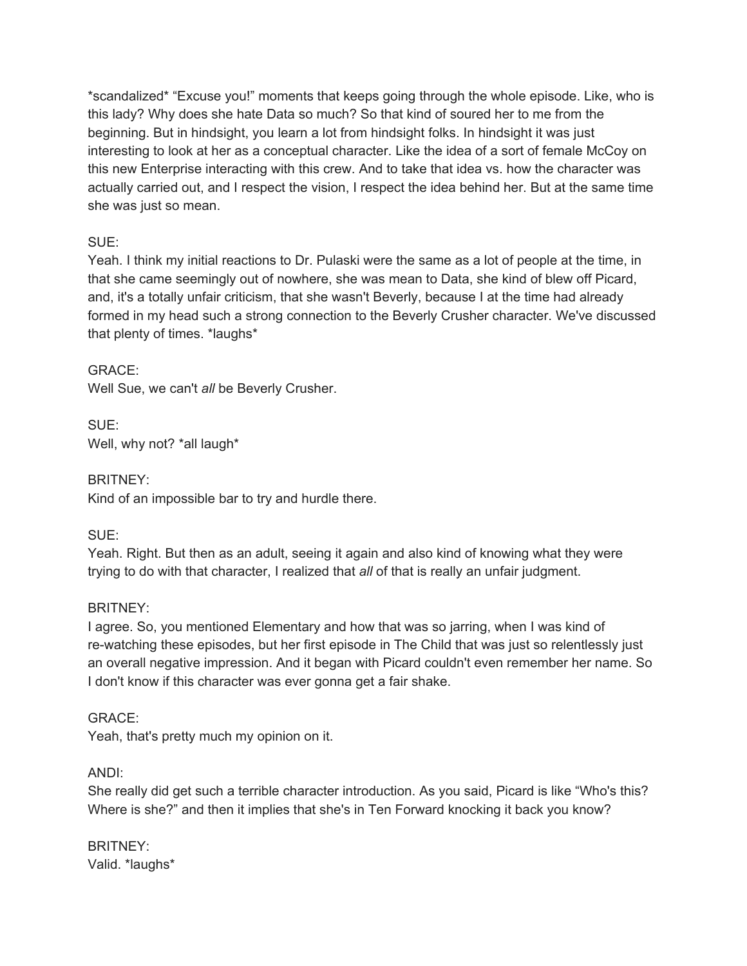\*scandalized\* "Excuse you!" moments that keeps going through the whole episode. Like, who is this lady? Why does she hate Data so much? So that kind of soured her to me from the beginning. But in hindsight, you learn a lot from hindsight folks. In hindsight it was just interesting to look at her as a conceptual character. Like the idea of a sort of female McCoy on this new Enterprise interacting with this crew. And to take that idea vs. how the character was actually carried out, and I respect the vision, I respect the idea behind her. But at the same time she was just so mean.

# SUE:

Yeah. I think my initial reactions to Dr. Pulaski were the same as a lot of people at the time, in that she came seemingly out of nowhere, she was mean to Data, she kind of blew off Picard, and, it's a totally unfair criticism, that she wasn't Beverly, because I at the time had already formed in my head such a strong connection to the Beverly Crusher character. We've discussed that plenty of times. \*laughs\*

# GRACE:

Well Sue, we can't *all* be Beverly Crusher.

SUE: Well, why not? \*all laugh\*

BRITNEY: Kind of an impossible bar to try and hurdle there.

SUE:

Yeah. Right. But then as an adult, seeing it again and also kind of knowing what they were trying to do with that character, I realized that *all* of that is really an unfair judgment.

# BRITNEY:

I agree. So, you mentioned Elementary and how that was so jarring, when I was kind of re-watching these episodes, but her first episode in The Child that was just so relentlessly just an overall negative impression. And it began with Picard couldn't even remember her name. So I don't know if this character was ever gonna get a fair shake.

# GRACE:

Yeah, that's pretty much my opinion on it.

# ANDI:

She really did get such a terrible character introduction. As you said, Picard is like "Who's this? Where is she?" and then it implies that she's in Ten Forward knocking it back you know?

BRITNEY: Valid. \*laughs\*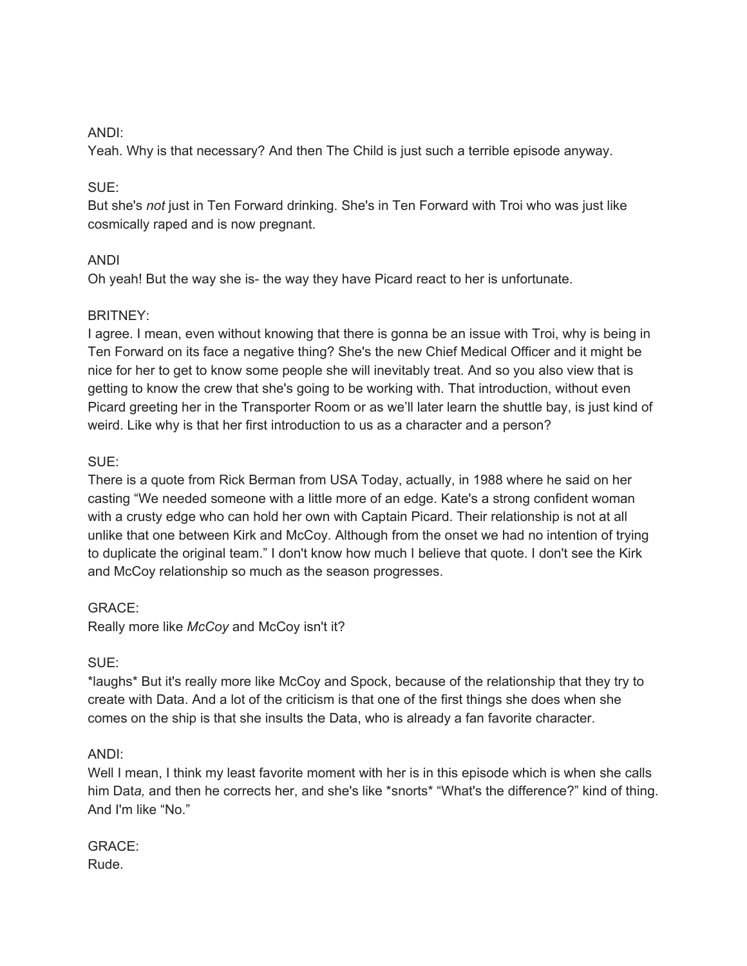#### ANDI:

Yeah. Why is that necessary? And then The Child is just such a terrible episode anyway.

### SUE:

But she's *not* just in Ten Forward drinking. She's in Ten Forward with Troi who was just like cosmically raped and is now pregnant.

# ANDI

Oh yeah! But the way she is- the way they have Picard react to her is unfortunate.

### BRITNEY:

I agree. I mean, even without knowing that there is gonna be an issue with Troi, why is being in Ten Forward on its face a negative thing? She's the new Chief Medical Officer and it might be nice for her to get to know some people she will inevitably treat. And so you also view that is getting to know the crew that she's going to be working with. That introduction, without even Picard greeting her in the Transporter Room or as we'll later learn the shuttle bay, is just kind of weird. Like why is that her first introduction to us as a character and a person?

### SUE:

There is a quote from Rick Berman from USA Today, actually, in 1988 where he said on her casting "We needed someone with a little more of an edge. Kate's a strong confident woman with a crusty edge who can hold her own with Captain Picard. Their relationship is not at all unlike that one between Kirk and McCoy. Although from the onset we had no intention of trying to duplicate the original team." I don't know how much I believe that quote. I don't see the Kirk and McCoy relationship so much as the season progresses.

#### GRACE:

Really more like *McCoy* and McCoy isn't it?

#### SUE:

\*laughs\* But it's really more like McCoy and Spock, because of the relationship that they try to create with Data. And a lot of the criticism is that one of the first things she does when she comes on the ship is that she insults the Data, who is already a fan favorite character.

#### ANDI:

Well I mean, I think my least favorite moment with her is in this episode which is when she calls him Data, and then he corrects her, and she's like \*snorts\* "What's the difference?" kind of thing. And I'm like "No."

GRACE: Rude.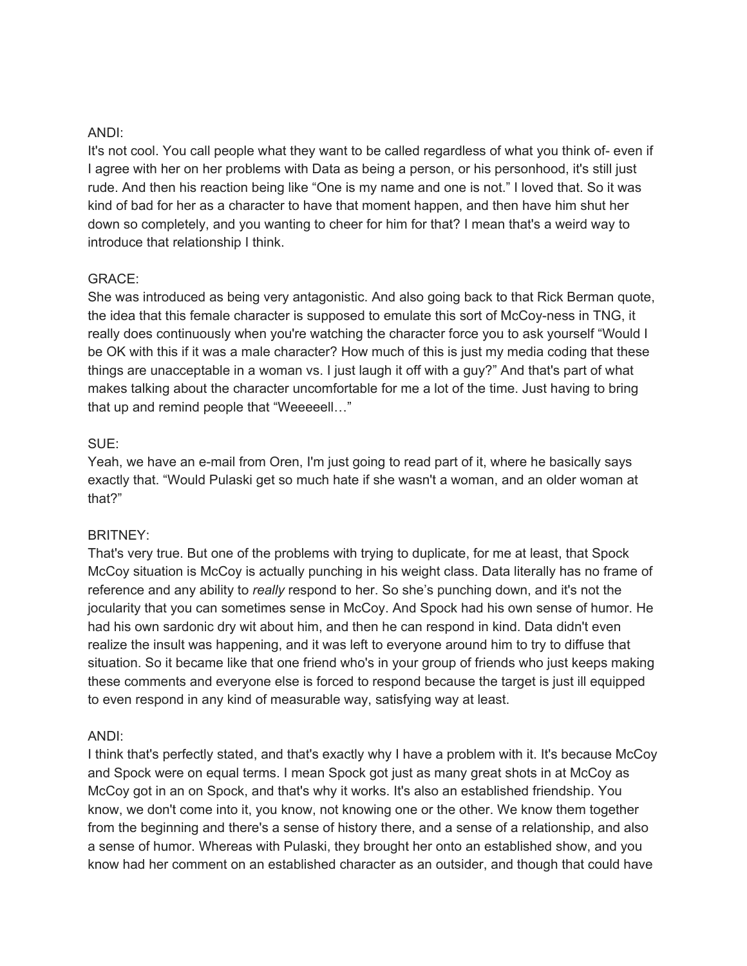#### ANDI:

It's not cool. You call people what they want to be called regardless of what you think of- even if I agree with her on her problems with Data as being a person, or his personhood, it's still just rude. And then his reaction being like "One is my name and one is not." I loved that. So it was kind of bad for her as a character to have that moment happen, and then have him shut her down so completely, and you wanting to cheer for him for that? I mean that's a weird way to introduce that relationship I think.

#### GRACE:

She was introduced as being very antagonistic. And also going back to that Rick Berman quote, the idea that this female character is supposed to emulate this sort of McCoy-ness in TNG, it really does continuously when you're watching the character force you to ask yourself "Would I be OK with this if it was a male character? How much of this is just my media coding that these things are unacceptable in a woman vs. I just laugh it off with a guy?" And that's part of what makes talking about the character uncomfortable for me a lot of the time. Just having to bring that up and remind people that "Weeeeell…"

### SUE:

Yeah, we have an e-mail from Oren, I'm just going to read part of it, where he basically says exactly that. "Would Pulaski get so much hate if she wasn't a woman, and an older woman at that?"

#### BRITNEY:

That's very true. But one of the problems with trying to duplicate, for me at least, that Spock McCoy situation is McCoy is actually punching in his weight class. Data literally has no frame of reference and any ability to *really* respond to her. So she's punching down, and it's not the jocularity that you can sometimes sense in McCoy. And Spock had his own sense of humor. He had his own sardonic dry wit about him, and then he can respond in kind. Data didn't even realize the insult was happening, and it was left to everyone around him to try to diffuse that situation. So it became like that one friend who's in your group of friends who just keeps making these comments and everyone else is forced to respond because the target is just ill equipped to even respond in any kind of measurable way, satisfying way at least.

#### ANDI:

I think that's perfectly stated, and that's exactly why I have a problem with it. It's because McCoy and Spock were on equal terms. I mean Spock got just as many great shots in at McCoy as McCoy got in an on Spock, and that's why it works. It's also an established friendship. You know, we don't come into it, you know, not knowing one or the other. We know them together from the beginning and there's a sense of history there, and a sense of a relationship, and also a sense of humor. Whereas with Pulaski, they brought her onto an established show, and you know had her comment on an established character as an outsider, and though that could have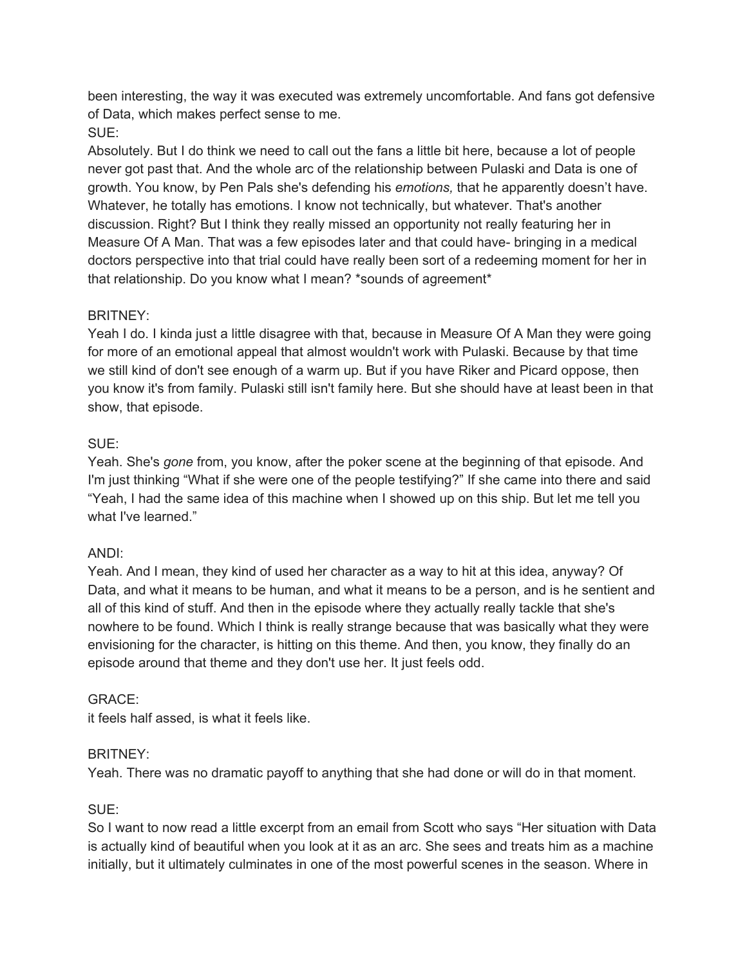been interesting, the way it was executed was extremely uncomfortable. And fans got defensive of Data, which makes perfect sense to me.

# SUE:

Absolutely. But I do think we need to call out the fans a little bit here, because a lot of people never got past that. And the whole arc of the relationship between Pulaski and Data is one of growth. You know, by Pen Pals she's defending his *emotions,* that he apparently doesn't have. Whatever, he totally has emotions. I know not technically, but whatever. That's another discussion. Right? But I think they really missed an opportunity not really featuring her in Measure Of A Man. That was a few episodes later and that could have- bringing in a medical doctors perspective into that trial could have really been sort of a redeeming moment for her in that relationship. Do you know what I mean? \*sounds of agreement\*

# BRITNEY:

Yeah I do. I kinda just a little disagree with that, because in Measure Of A Man they were going for more of an emotional appeal that almost wouldn't work with Pulaski. Because by that time we still kind of don't see enough of a warm up. But if you have Riker and Picard oppose, then you know it's from family. Pulaski still isn't family here. But she should have at least been in that show, that episode.

# SUE:

Yeah. She's *gone* from, you know, after the poker scene at the beginning of that episode. And I'm just thinking "What if she were one of the people testifying?" If she came into there and said "Yeah, I had the same idea of this machine when I showed up on this ship. But let me tell you what I've learned."

# ANDI:

Yeah. And I mean, they kind of used her character as a way to hit at this idea, anyway? Of Data, and what it means to be human, and what it means to be a person, and is he sentient and all of this kind of stuff. And then in the episode where they actually really tackle that she's nowhere to be found. Which I think is really strange because that was basically what they were envisioning for the character, is hitting on this theme. And then, you know, they finally do an episode around that theme and they don't use her. It just feels odd.

# GRACE:

it feels half assed, is what it feels like.

# BRITNEY:

Yeah. There was no dramatic payoff to anything that she had done or will do in that moment.

# SUE:

So I want to now read a little excerpt from an email from Scott who says "Her situation with Data is actually kind of beautiful when you look at it as an arc. She sees and treats him as a machine initially, but it ultimately culminates in one of the most powerful scenes in the season. Where in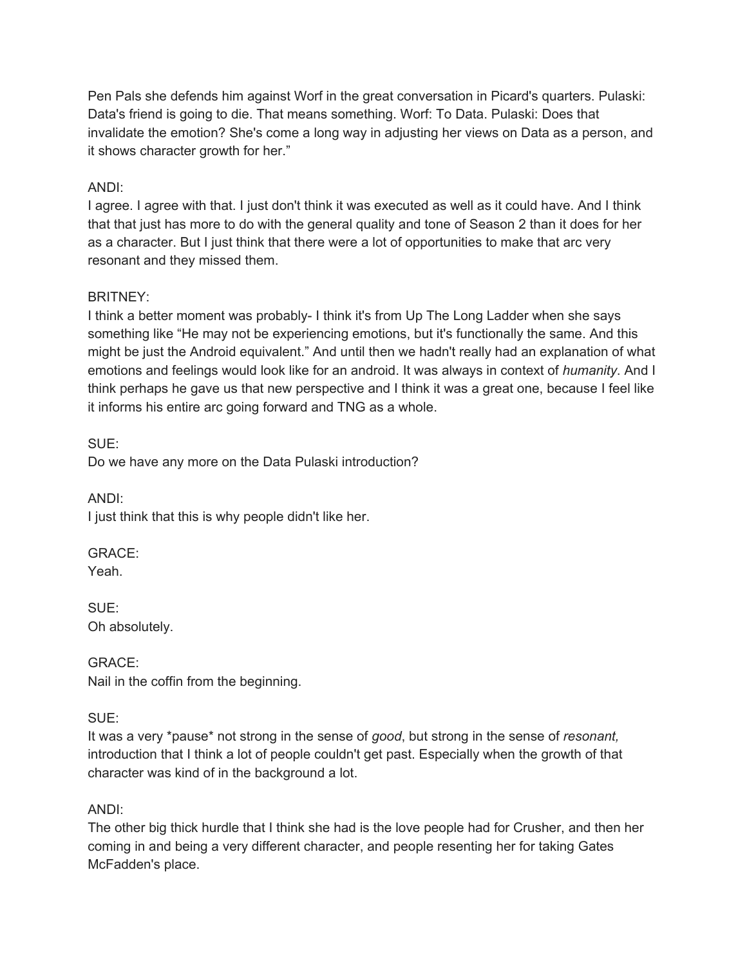Pen Pals she defends him against Worf in the great conversation in Picard's quarters. Pulaski: Data's friend is going to die. That means something. Worf: To Data. Pulaski: Does that invalidate the emotion? She's come a long way in adjusting her views on Data as a person, and it shows character growth for her."

# ANDI:

I agree. I agree with that. I just don't think it was executed as well as it could have. And I think that that just has more to do with the general quality and tone of Season 2 than it does for her as a character. But I just think that there were a lot of opportunities to make that arc very resonant and they missed them.

# BRITNEY:

I think a better moment was probably- I think it's from Up The Long Ladder when she says something like "He may not be experiencing emotions, but it's functionally the same. And this might be just the Android equivalent." And until then we hadn't really had an explanation of what emotions and feelings would look like for an android. It was always in context of *humanity*. And I think perhaps he gave us that new perspective and I think it was a great one, because I feel like it informs his entire arc going forward and TNG as a whole.

SUE: Do we have any more on the Data Pulaski introduction?

ANDI: I just think that this is why people didn't like her.

GRACE: Yeah.

SUE: Oh absolutely.

GRACE: Nail in the coffin from the beginning.

# SUE:

It was a very \*pause\* not strong in the sense of *good*, but strong in the sense of *resonant,* introduction that I think a lot of people couldn't get past. Especially when the growth of that character was kind of in the background a lot.

# ANDI:

The other big thick hurdle that I think she had is the love people had for Crusher, and then her coming in and being a very different character, and people resenting her for taking Gates McFadden's place.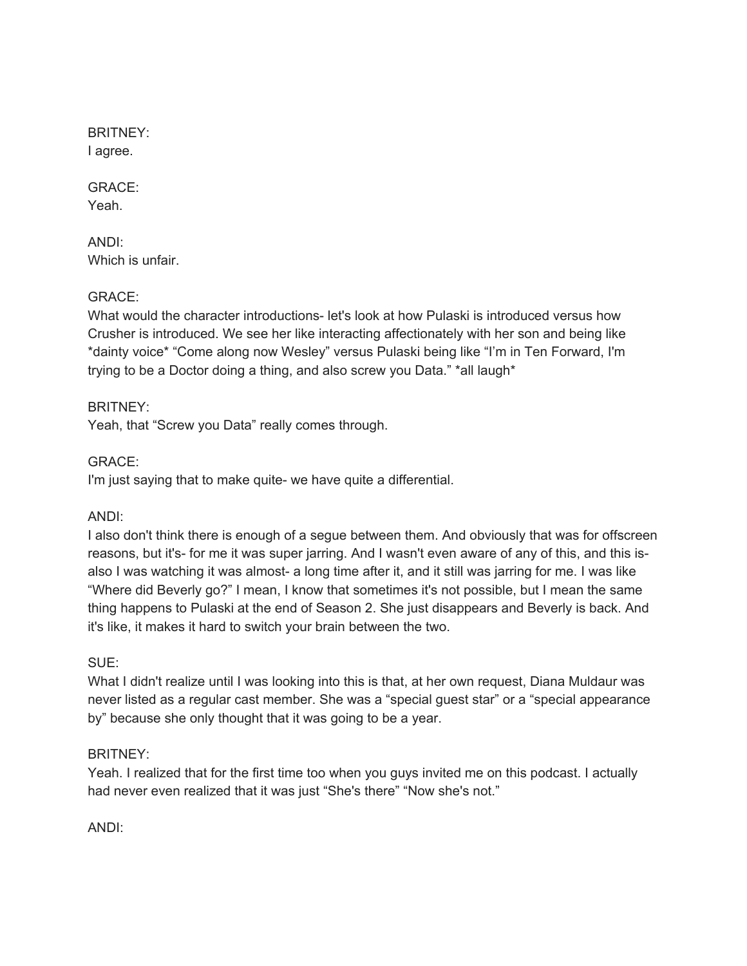BRITNEY: I agree.

GRACE: Yeah.

ANDI: Which is unfair.

### GRACE:

What would the character introductions- let's look at how Pulaski is introduced versus how Crusher is introduced. We see her like interacting affectionately with her son and being like \*dainty voice\* "Come along now Wesley" versus Pulaski being like "I'm in Ten Forward, I'm trying to be a Doctor doing a thing, and also screw you Data." \*all laugh\*

BRITNEY:

Yeah, that "Screw you Data" really comes through.

GRACE:

I'm just saying that to make quite- we have quite a differential.

ANDI:

I also don't think there is enough of a segue between them. And obviously that was for offscreen reasons, but it's- for me it was super jarring. And I wasn't even aware of any of this, and this isalso I was watching it was almost- a long time after it, and it still was jarring for me. I was like "Where did Beverly go?" I mean, I know that sometimes it's not possible, but I mean the same thing happens to Pulaski at the end of Season 2. She just disappears and Beverly is back. And it's like, it makes it hard to switch your brain between the two.

SUE:

What I didn't realize until I was looking into this is that, at her own request, Diana Muldaur was never listed as a regular cast member. She was a "special guest star" or a "special appearance by" because she only thought that it was going to be a year.

# BRITNEY:

Yeah. I realized that for the first time too when you guys invited me on this podcast. I actually had never even realized that it was just "She's there" "Now she's not."

ANDI: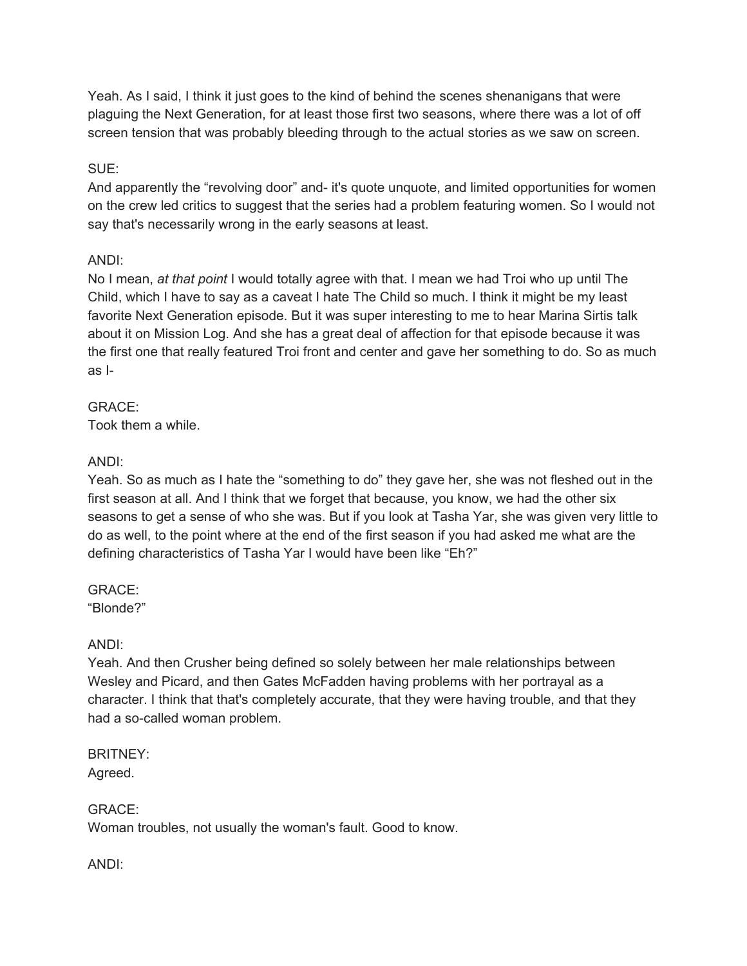Yeah. As I said, I think it just goes to the kind of behind the scenes shenanigans that were plaguing the Next Generation, for at least those first two seasons, where there was a lot of off screen tension that was probably bleeding through to the actual stories as we saw on screen.

### SUE:

And apparently the "revolving door" and- it's quote unquote, and limited opportunities for women on the crew led critics to suggest that the series had a problem featuring women. So I would not say that's necessarily wrong in the early seasons at least.

# ANDI:

No I mean, *at that point* I would totally agree with that. I mean we had Troi who up until The Child, which I have to say as a caveat I hate The Child so much. I think it might be my least favorite Next Generation episode. But it was super interesting to me to hear Marina Sirtis talk about it on Mission Log. And she has a great deal of affection for that episode because it was the first one that really featured Troi front and center and gave her something to do. So as much as I-

# GRACE:

Took them a while.

# ANDI:

Yeah. So as much as I hate the "something to do" they gave her, she was not fleshed out in the first season at all. And I think that we forget that because, you know, we had the other six seasons to get a sense of who she was. But if you look at Tasha Yar, she was given very little to do as well, to the point where at the end of the first season if you had asked me what are the defining characteristics of Tasha Yar I would have been like "Eh?"

# GRACE:

"Blonde?"

# ANDI:

Yeah. And then Crusher being defined so solely between her male relationships between Wesley and Picard, and then Gates McFadden having problems with her portrayal as a character. I think that that's completely accurate, that they were having trouble, and that they had a so-called woman problem.

BRITNEY: Agreed.

GRACE: Woman troubles, not usually the woman's fault. Good to know.

ANDI: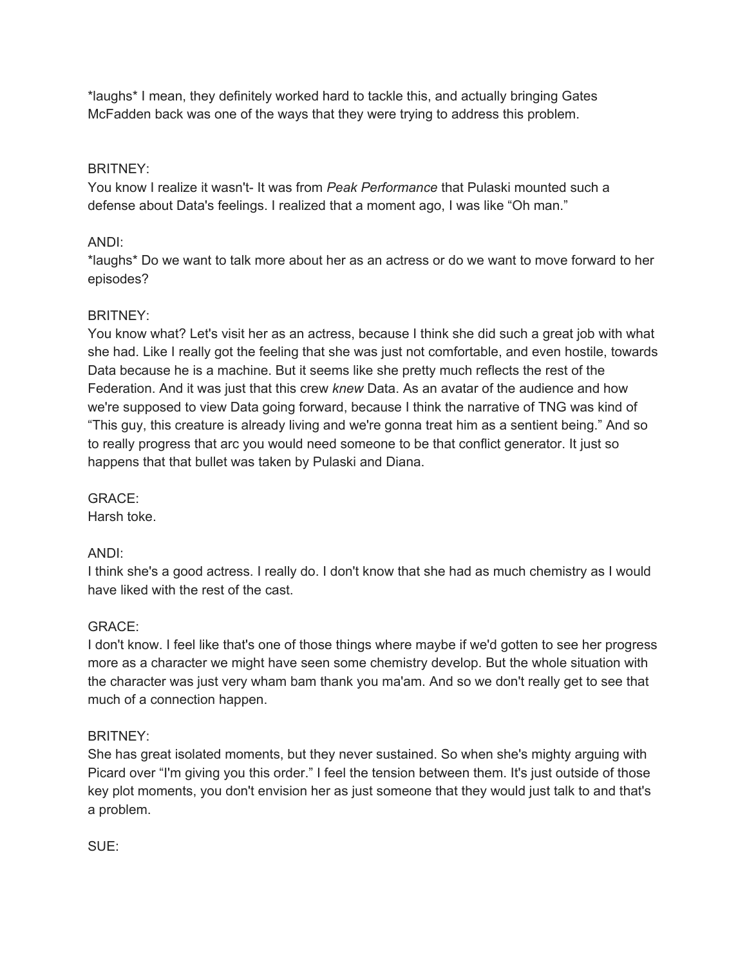\*laughs\* I mean, they definitely worked hard to tackle this, and actually bringing Gates McFadden back was one of the ways that they were trying to address this problem.

# BRITNEY:

You know I realize it wasn't- It was from *Peak Performance* that Pulaski mounted such a defense about Data's feelings. I realized that a moment ago, I was like "Oh man."

# ANDI:

\*laughs\* Do we want to talk more about her as an actress or do we want to move forward to her episodes?

# BRITNEY:

You know what? Let's visit her as an actress, because I think she did such a great job with what she had. Like I really got the feeling that she was just not comfortable, and even hostile, towards Data because he is a machine. But it seems like she pretty much reflects the rest of the Federation. And it was just that this crew *knew* Data. As an avatar of the audience and how we're supposed to view Data going forward, because I think the narrative of TNG was kind of "This guy, this creature is already living and we're gonna treat him as a sentient being." And so to really progress that arc you would need someone to be that conflict generator. It just so happens that that bullet was taken by Pulaski and Diana.

GRACE:

Harsh toke.

# ANDI:

I think she's a good actress. I really do. I don't know that she had as much chemistry as I would have liked with the rest of the cast.

# GRACE:

I don't know. I feel like that's one of those things where maybe if we'd gotten to see her progress more as a character we might have seen some chemistry develop. But the whole situation with the character was just very wham bam thank you ma'am. And so we don't really get to see that much of a connection happen.

# BRITNEY:

She has great isolated moments, but they never sustained. So when she's mighty arguing with Picard over "I'm giving you this order." I feel the tension between them. It's just outside of those key plot moments, you don't envision her as just someone that they would just talk to and that's a problem.

SUE: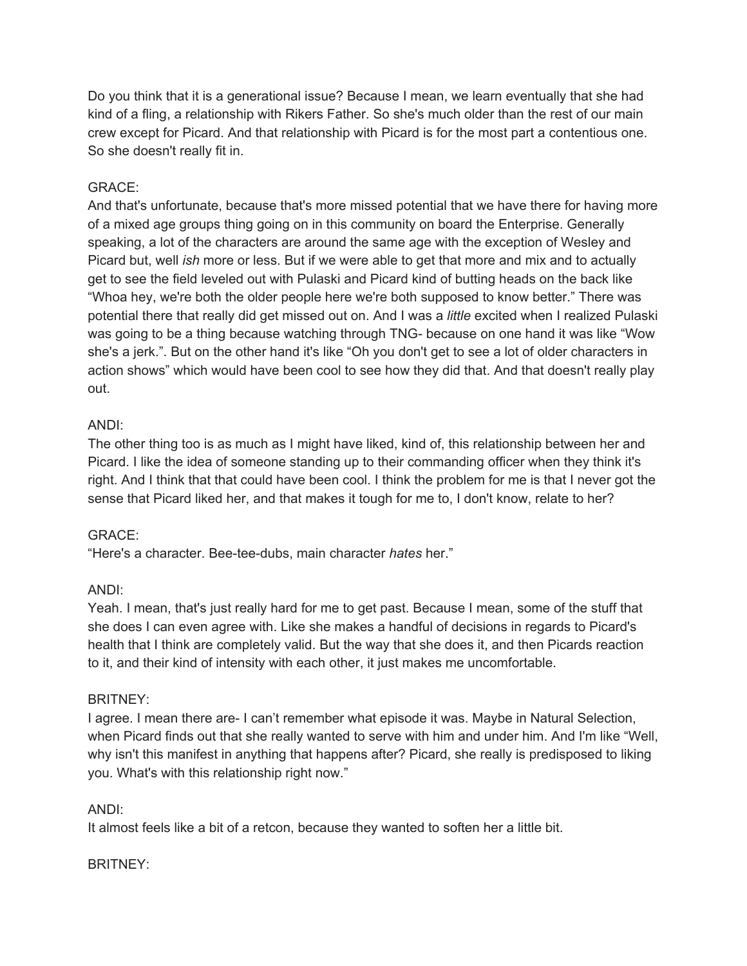Do you think that it is a generational issue? Because I mean, we learn eventually that she had kind of a fling, a relationship with Rikers Father. So she's much older than the rest of our main crew except for Picard. And that relationship with Picard is for the most part a contentious one. So she doesn't really fit in.

### GRACE:

And that's unfortunate, because that's more missed potential that we have there for having more of a mixed age groups thing going on in this community on board the Enterprise. Generally speaking, a lot of the characters are around the same age with the exception of Wesley and Picard but, well *ish* more or less. But if we were able to get that more and mix and to actually get to see the field leveled out with Pulaski and Picard kind of butting heads on the back like "Whoa hey, we're both the older people here we're both supposed to know better." There was potential there that really did get missed out on. And I was a *little* excited when I realized Pulaski was going to be a thing because watching through TNG- because on one hand it was like "Wow she's a jerk.". But on the other hand it's like "Oh you don't get to see a lot of older characters in action shows" which would have been cool to see how they did that. And that doesn't really play out.

# ANDI:

The other thing too is as much as I might have liked, kind of, this relationship between her and Picard. I like the idea of someone standing up to their commanding officer when they think it's right. And I think that that could have been cool. I think the problem for me is that I never got the sense that Picard liked her, and that makes it tough for me to, I don't know, relate to her?

# GRACE:

"Here's a character. Bee-tee-dubs, main character *hates* her."

# ANDI:

Yeah. I mean, that's just really hard for me to get past. Because I mean, some of the stuff that she does I can even agree with. Like she makes a handful of decisions in regards to Picard's health that I think are completely valid. But the way that she does it, and then Picards reaction to it, and their kind of intensity with each other, it just makes me uncomfortable.

#### BRITNEY:

I agree. I mean there are- I can't remember what episode it was. Maybe in Natural Selection, when Picard finds out that she really wanted to serve with him and under him. And I'm like "Well, why isn't this manifest in anything that happens after? Picard, she really is predisposed to liking you. What's with this relationship right now."

#### ANDI:

It almost feels like a bit of a retcon, because they wanted to soften her a little bit.

#### BRITNEY: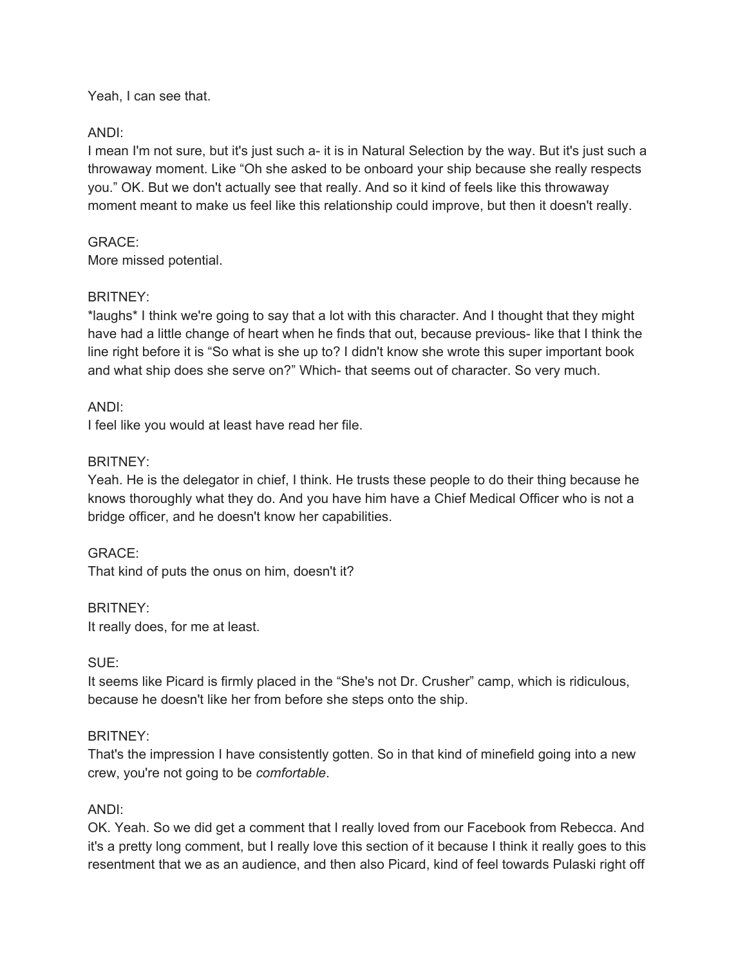Yeah, I can see that.

# ANDI:

I mean I'm not sure, but it's just such a- it is in Natural Selection by the way. But it's just such a throwaway moment. Like "Oh she asked to be onboard your ship because she really respects you." OK. But we don't actually see that really. And so it kind of feels like this throwaway moment meant to make us feel like this relationship could improve, but then it doesn't really.

# GRACE:

More missed potential.

# BRITNEY:

\*laughs\* I think we're going to say that a lot with this character. And I thought that they might have had a little change of heart when he finds that out, because previous- like that I think the line right before it is "So what is she up to? I didn't know she wrote this super important book and what ship does she serve on?" Which- that seems out of character. So very much.

# ANDI:

I feel like you would at least have read her file.

# BRITNEY:

Yeah. He is the delegator in chief, I think. He trusts these people to do their thing because he knows thoroughly what they do. And you have him have a Chief Medical Officer who is not a bridge officer, and he doesn't know her capabilities.

# GRACE:

That kind of puts the onus on him, doesn't it?

# BRITNEY:

It really does, for me at least.

# SUE:

It seems like Picard is firmly placed in the "She's not Dr. Crusher" camp, which is ridiculous, because he doesn't like her from before she steps onto the ship.

# BRITNEY:

That's the impression I have consistently gotten. So in that kind of minefield going into a new crew, you're not going to be *comfortable*.

# ANDI:

OK. Yeah. So we did get a comment that I really loved from our Facebook from Rebecca. And it's a pretty long comment, but I really love this section of it because I think it really goes to this resentment that we as an audience, and then also Picard, kind of feel towards Pulaski right off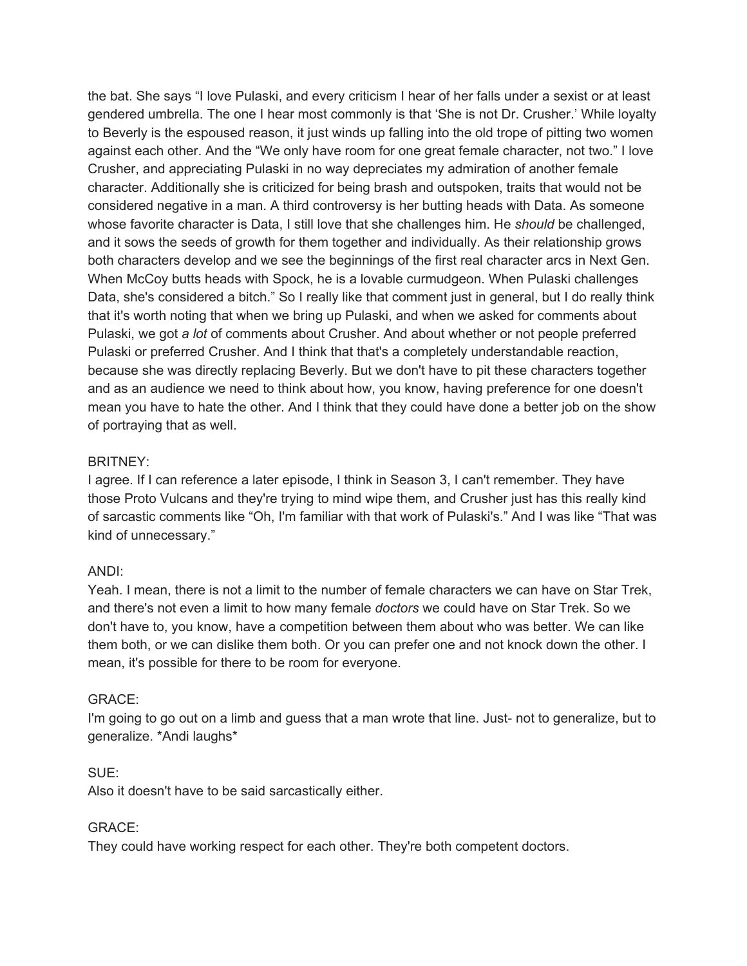the bat. She says "I love Pulaski, and every criticism I hear of her falls under a sexist or at least gendered umbrella. The one I hear most commonly is that 'She is not Dr. Crusher.' While loyalty to Beverly is the espoused reason, it just winds up falling into the old trope of pitting two women against each other. And the "We only have room for one great female character, not two." I love Crusher, and appreciating Pulaski in no way depreciates my admiration of another female character. Additionally she is criticized for being brash and outspoken, traits that would not be considered negative in a man. A third controversy is her butting heads with Data. As someone whose favorite character is Data, I still love that she challenges him. He *should* be challenged, and it sows the seeds of growth for them together and individually. As their relationship grows both characters develop and we see the beginnings of the first real character arcs in Next Gen. When McCoy butts heads with Spock, he is a lovable curmudgeon. When Pulaski challenges Data, she's considered a bitch." So I really like that comment just in general, but I do really think that it's worth noting that when we bring up Pulaski, and when we asked for comments about Pulaski, we got *a lot* of comments about Crusher. And about whether or not people preferred Pulaski or preferred Crusher. And I think that that's a completely understandable reaction, because she was directly replacing Beverly. But we don't have to pit these characters together and as an audience we need to think about how, you know, having preference for one doesn't mean you have to hate the other. And I think that they could have done a better job on the show of portraying that as well.

### BRITNEY:

I agree. If I can reference a later episode, I think in Season 3, I can't remember. They have those Proto Vulcans and they're trying to mind wipe them, and Crusher just has this really kind of sarcastic comments like "Oh, I'm familiar with that work of Pulaski's." And I was like "That was kind of unnecessary."

# ANDI:

Yeah. I mean, there is not a limit to the number of female characters we can have on Star Trek, and there's not even a limit to how many female *doctors* we could have on Star Trek. So we don't have to, you know, have a competition between them about who was better. We can like them both, or we can dislike them both. Or you can prefer one and not knock down the other. I mean, it's possible for there to be room for everyone.

#### GRACE:

I'm going to go out on a limb and guess that a man wrote that line. Just- not to generalize, but to generalize. \*Andi laughs\*

#### SUE:

Also it doesn't have to be said sarcastically either.

#### GRACE:

They could have working respect for each other. They're both competent doctors.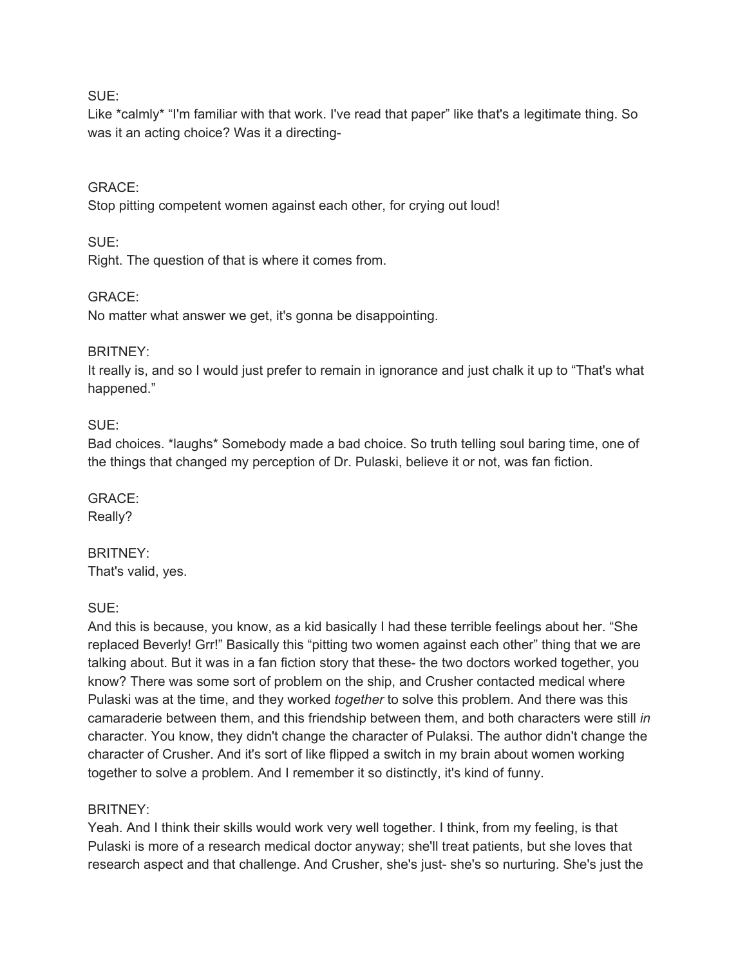#### SUE:

Like \*calmly\* "I'm familiar with that work. I've read that paper" like that's a legitimate thing. So was it an acting choice? Was it a directing-

#### GRACE:

Stop pitting competent women against each other, for crying out loud!

#### SUE:

Right. The question of that is where it comes from.

### GRACE:

No matter what answer we get, it's gonna be disappointing.

#### BRITNEY:

It really is, and so I would just prefer to remain in ignorance and just chalk it up to "That's what happened."

#### SUE:

Bad choices. \*laughs\* Somebody made a bad choice. So truth telling soul baring time, one of the things that changed my perception of Dr. Pulaski, believe it or not, was fan fiction.

GRACE: Really?

# BRITNEY: That's valid, yes.

SUE:

And this is because, you know, as a kid basically I had these terrible feelings about her. "She replaced Beverly! Grr!" Basically this "pitting two women against each other" thing that we are talking about. But it was in a fan fiction story that these- the two doctors worked together, you know? There was some sort of problem on the ship, and Crusher contacted medical where Pulaski was at the time, and they worked *together* to solve this problem. And there was this camaraderie between them, and this friendship between them, and both characters were still *in* character. You know, they didn't change the character of Pulaksi. The author didn't change the character of Crusher. And it's sort of like flipped a switch in my brain about women working together to solve a problem. And I remember it so distinctly, it's kind of funny.

#### BRITNEY:

Yeah. And I think their skills would work very well together. I think, from my feeling, is that Pulaski is more of a research medical doctor anyway; she'll treat patients, but she loves that research aspect and that challenge. And Crusher, she's just- she's so nurturing. She's just the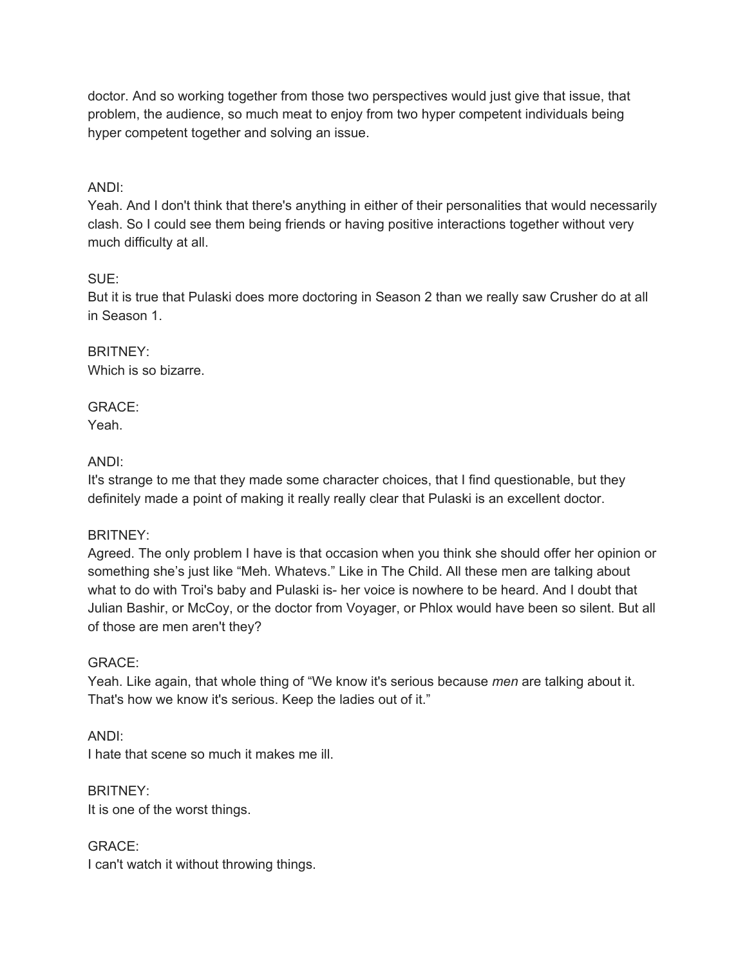doctor. And so working together from those two perspectives would just give that issue, that problem, the audience, so much meat to enjoy from two hyper competent individuals being hyper competent together and solving an issue.

# ANDI:

Yeah. And I don't think that there's anything in either of their personalities that would necessarily clash. So I could see them being friends or having positive interactions together without very much difficulty at all.

# SUE:

But it is true that Pulaski does more doctoring in Season 2 than we really saw Crusher do at all in Season 1.

BRITNEY: Which is so bizarre.

GRACE: Yeah.

# ANDI:

It's strange to me that they made some character choices, that I find questionable, but they definitely made a point of making it really really clear that Pulaski is an excellent doctor.

# BRITNEY:

Agreed. The only problem I have is that occasion when you think she should offer her opinion or something she's just like "Meh. Whatevs." Like in The Child. All these men are talking about what to do with Troi's baby and Pulaski is- her voice is nowhere to be heard. And I doubt that Julian Bashir, or McCoy, or the doctor from Voyager, or Phlox would have been so silent. But all of those are men aren't they?

# GRACE:

Yeah. Like again, that whole thing of "We know it's serious because *men* are talking about it. That's how we know it's serious. Keep the ladies out of it."

ANDI: I hate that scene so much it makes me ill.

BRITNEY: It is one of the worst things.

GRACE: I can't watch it without throwing things.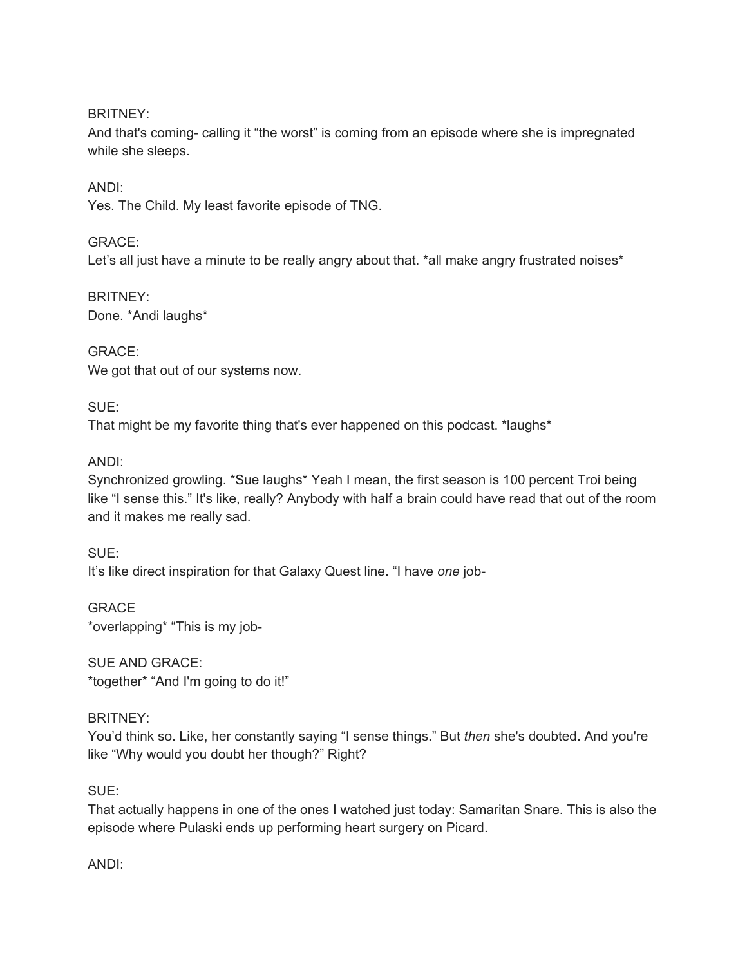BRITNEY:

And that's coming- calling it "the worst" is coming from an episode where she is impregnated while she sleeps.

ANDI:

Yes. The Child. My least favorite episode of TNG.

GRACE:

Let's all just have a minute to be really angry about that. \*all make angry frustrated noises\*

BRITNEY: Done. \*Andi laughs\*

GRACE: We got that out of our systems now.

SUE:

That might be my favorite thing that's ever happened on this podcast. \*laughs\*

ANDI:

Synchronized growling. \*Sue laughs\* Yeah I mean, the first season is 100 percent Troi being like "I sense this." It's like, really? Anybody with half a brain could have read that out of the room and it makes me really sad.

SUE: It's like direct inspiration for that Galaxy Quest line. "I have *one* job-

GRACE \*overlapping\* "This is my job-

SUE AND GRACE: \*together\* "And I'm going to do it!"

BRITNEY:

You'd think so. Like, her constantly saying "I sense things." But *then* she's doubted. And you're like "Why would you doubt her though?" Right?

SUE:

That actually happens in one of the ones I watched just today: Samaritan Snare. This is also the episode where Pulaski ends up performing heart surgery on Picard.

ANDI: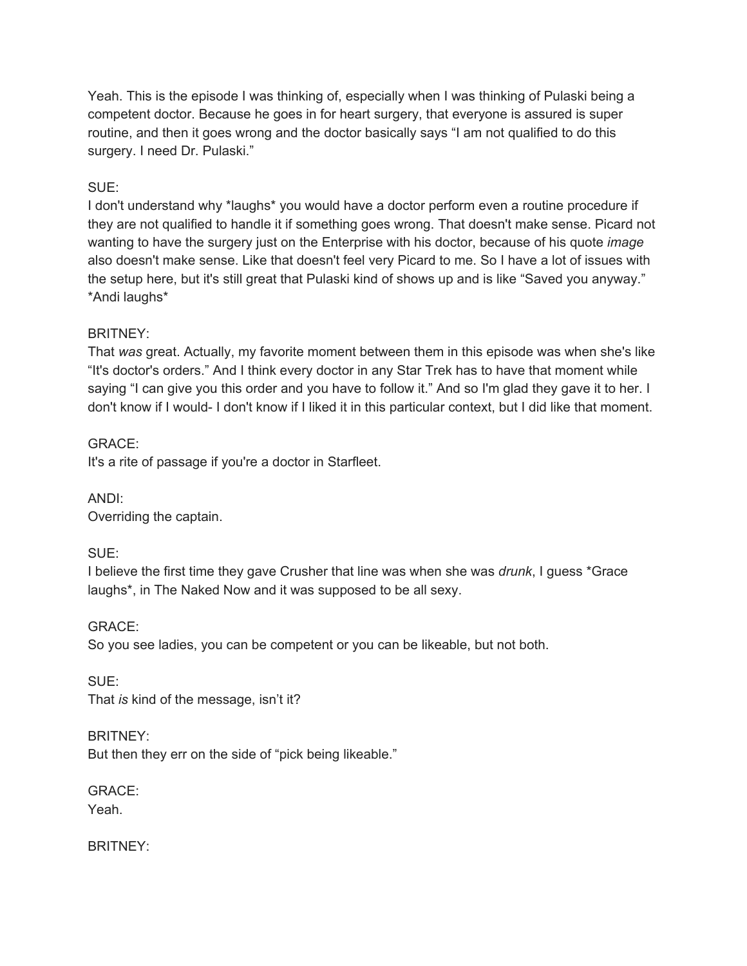Yeah. This is the episode I was thinking of, especially when I was thinking of Pulaski being a competent doctor. Because he goes in for heart surgery, that everyone is assured is super routine, and then it goes wrong and the doctor basically says "I am not qualified to do this surgery. I need Dr. Pulaski."

# SUE:

I don't understand why \*laughs\* you would have a doctor perform even a routine procedure if they are not qualified to handle it if something goes wrong. That doesn't make sense. Picard not wanting to have the surgery just on the Enterprise with his doctor, because of his quote *image* also doesn't make sense. Like that doesn't feel very Picard to me. So I have a lot of issues with the setup here, but it's still great that Pulaski kind of shows up and is like "Saved you anyway." \*Andi laughs\*

# BRITNEY:

That *was* great. Actually, my favorite moment between them in this episode was when she's like "It's doctor's orders." And I think every doctor in any Star Trek has to have that moment while saying "I can give you this order and you have to follow it." And so I'm glad they gave it to her. I don't know if I would- I don't know if I liked it in this particular context, but I did like that moment.

GRACE: It's a rite of passage if you're a doctor in Starfleet.

ANDI: Overriding the captain.

SUE:

I believe the first time they gave Crusher that line was when she was *drunk*, I guess \*Grace laughs\*, in The Naked Now and it was supposed to be all sexy.

GRACE: So you see ladies, you can be competent or you can be likeable, but not both.

SUE: That *is* kind of the message, isn't it?

BRITNEY: But then they err on the side of "pick being likeable."

GRACE: Yeah.

BRITNEY: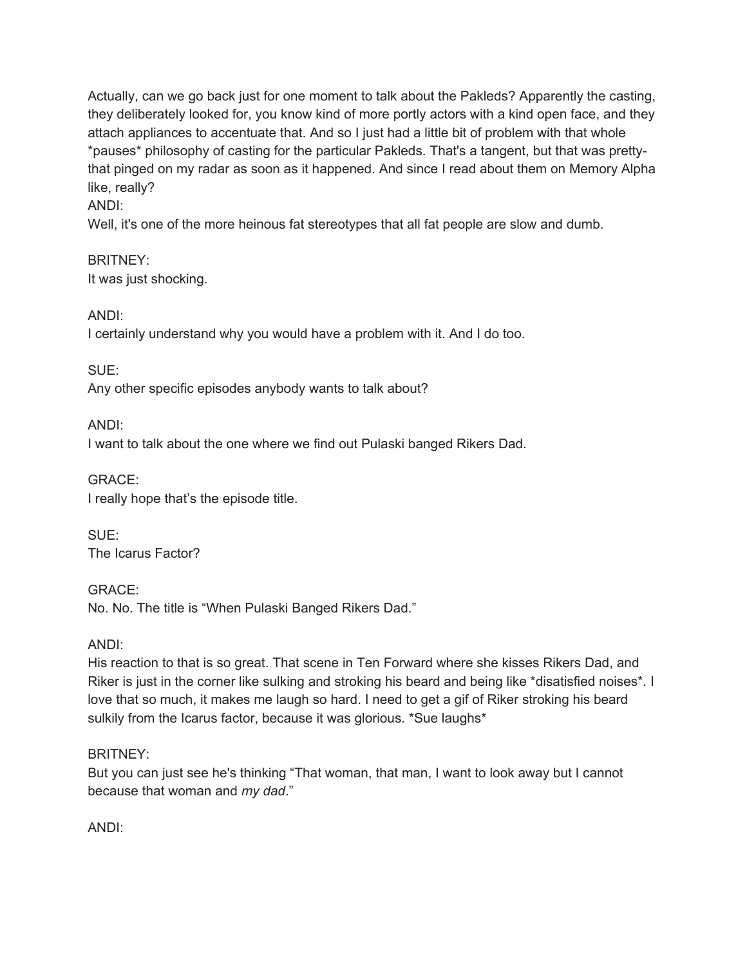Actually, can we go back just for one moment to talk about the Pakleds? Apparently the casting, they deliberately looked for, you know kind of more portly actors with a kind open face, and they attach appliances to accentuate that. And so I just had a little bit of problem with that whole \*pauses\* philosophy of casting for the particular Pakleds. That's a tangent, but that was prettythat pinged on my radar as soon as it happened. And since I read about them on Memory Alpha like, really?

# ANDI:

Well, it's one of the more heinous fat stereotypes that all fat people are slow and dumb.

BRITNEY: It was just shocking.

ANDI:

I certainly understand why you would have a problem with it. And I do too.

SUE:

Any other specific episodes anybody wants to talk about?

ANDI:

I want to talk about the one where we find out Pulaski banged Rikers Dad.

GRACE: I really hope that's the episode title.

SUE:

The Icarus Factor?

GRACE: No. No. The title is "When Pulaski Banged Rikers Dad."

ANDI:

His reaction to that is so great. That scene in Ten Forward where she kisses Rikers Dad, and Riker is just in the corner like sulking and stroking his beard and being like \*disatisfied noises\*. I love that so much, it makes me laugh so hard. I need to get a gif of Riker stroking his beard sulkily from the Icarus factor, because it was glorious. \*Sue laughs\*

# BRITNEY:

But you can just see he's thinking "That woman, that man, I want to look away but I cannot because that woman and *my dad*."

ANDI: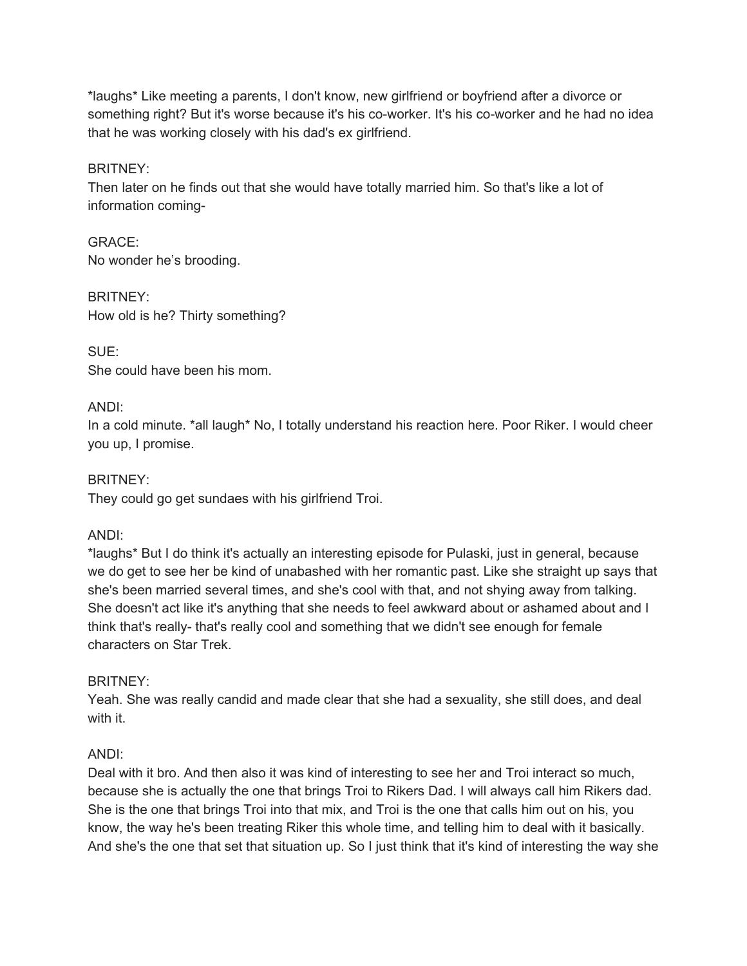\*laughs\* Like meeting a parents, I don't know, new girlfriend or boyfriend after a divorce or something right? But it's worse because it's his co-worker. It's his co-worker and he had no idea that he was working closely with his dad's ex girlfriend.

### BRITNEY:

Then later on he finds out that she would have totally married him. So that's like a lot of information coming-

GRACE: No wonder he's brooding.

BRITNEY: How old is he? Thirty something?

 $SUTE$ She could have been his mom.

# ANDI:

In a cold minute. \*all laugh\* No, I totally understand his reaction here. Poor Riker. I would cheer you up, I promise.

BRITNEY:

They could go get sundaes with his girlfriend Troi.

#### ANDI:

\*laughs\* But I do think it's actually an interesting episode for Pulaski, just in general, because we do get to see her be kind of unabashed with her romantic past. Like she straight up says that she's been married several times, and she's cool with that, and not shying away from talking. She doesn't act like it's anything that she needs to feel awkward about or ashamed about and I think that's really- that's really cool and something that we didn't see enough for female characters on Star Trek.

#### BRITNEY:

Yeah. She was really candid and made clear that she had a sexuality, she still does, and deal with it.

# ANDI:

Deal with it bro. And then also it was kind of interesting to see her and Troi interact so much, because she is actually the one that brings Troi to Rikers Dad. I will always call him Rikers dad. She is the one that brings Troi into that mix, and Troi is the one that calls him out on his, you know, the way he's been treating Riker this whole time, and telling him to deal with it basically. And she's the one that set that situation up. So I just think that it's kind of interesting the way she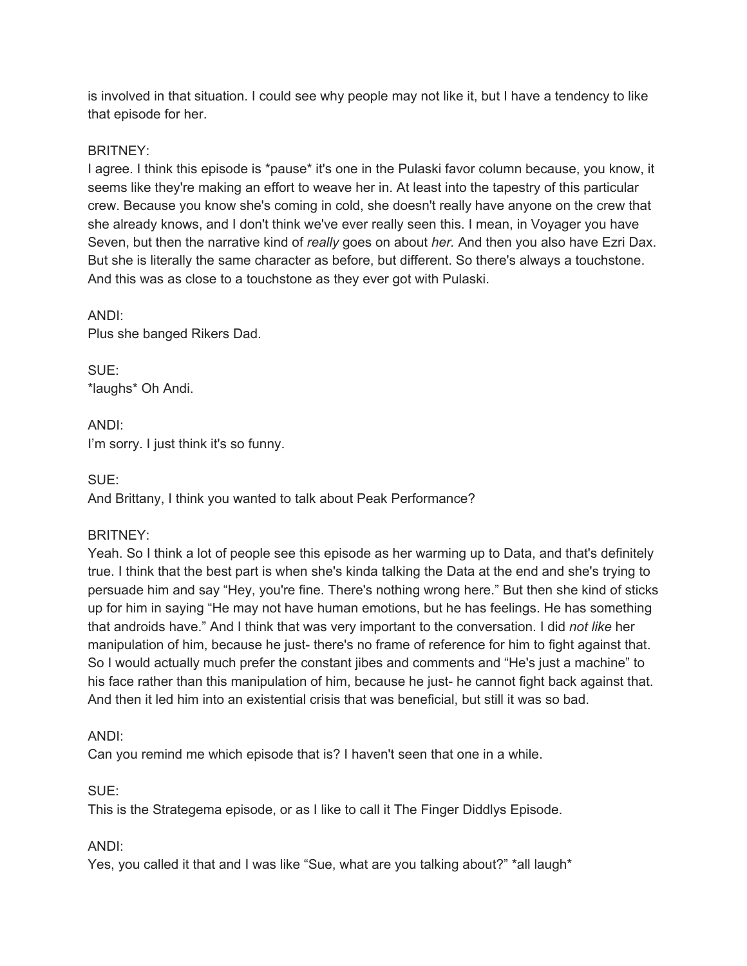is involved in that situation. I could see why people may not like it, but I have a tendency to like that episode for her.

# BRITNEY:

I agree. I think this episode is \*pause\* it's one in the Pulaski favor column because, you know, it seems like they're making an effort to weave her in. At least into the tapestry of this particular crew. Because you know she's coming in cold, she doesn't really have anyone on the crew that she already knows, and I don't think we've ever really seen this. I mean, in Voyager you have Seven, but then the narrative kind of *really* goes on about *her.* And then you also have Ezri Dax. But she is literally the same character as before, but different. So there's always a touchstone. And this was as close to a touchstone as they ever got with Pulaski.

ANDI: Plus she banged Rikers Dad.

SUE: \*laughs\* Oh Andi.

ANDI: I'm sorry. I just think it's so funny.

SUE:

And Brittany, I think you wanted to talk about Peak Performance?

# BRITNEY:

Yeah. So I think a lot of people see this episode as her warming up to Data, and that's definitely true. I think that the best part is when she's kinda talking the Data at the end and she's trying to persuade him and say "Hey, you're fine. There's nothing wrong here." But then she kind of sticks up for him in saying "He may not have human emotions, but he has feelings. He has something that androids have." And I think that was very important to the conversation. I did *not like* her manipulation of him, because he just- there's no frame of reference for him to fight against that. So I would actually much prefer the constant jibes and comments and "He's just a machine" to his face rather than this manipulation of him, because he just- he cannot fight back against that. And then it led him into an existential crisis that was beneficial, but still it was so bad.

# ANDI:

Can you remind me which episode that is? I haven't seen that one in a while.

SUE:

This is the Strategema episode, or as I like to call it The Finger Diddlys Episode.

# ANDI:

Yes, you called it that and I was like "Sue, what are you talking about?" \*all laugh\*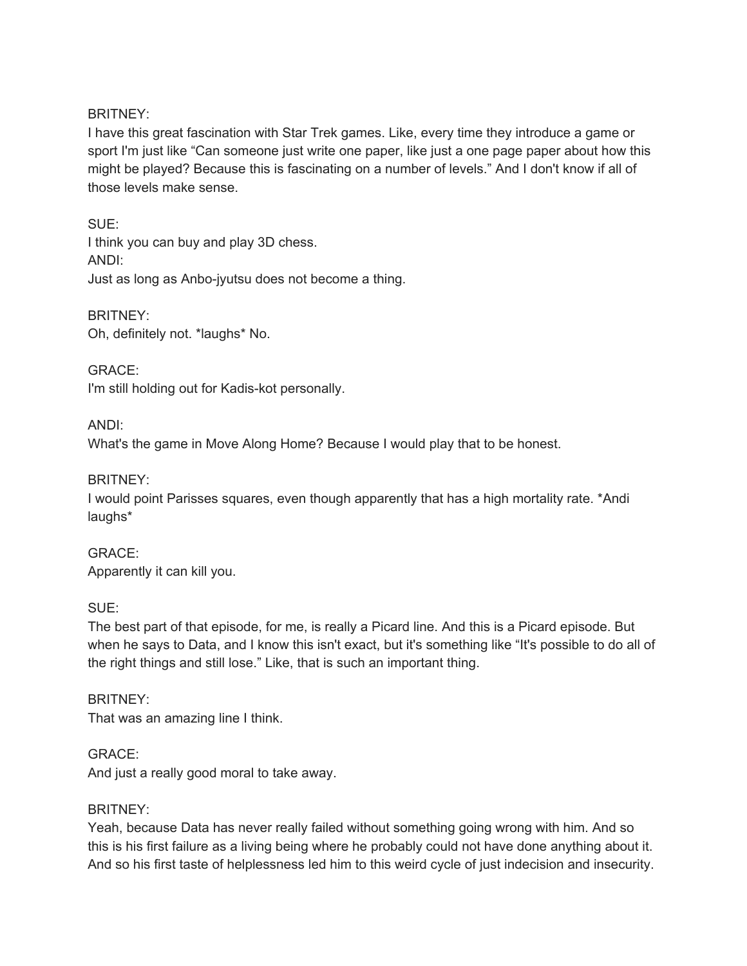### BRITNEY:

I have this great fascination with Star Trek games. Like, every time they introduce a game or sport I'm just like "Can someone just write one paper, like just a one page paper about how this might be played? Because this is fascinating on a number of levels." And I don't know if all of those levels make sense.

SUE: I think you can buy and play 3D chess. ANDI: Just as long as Anbo-jyutsu does not become a thing.

BRITNEY: Oh, definitely not. \*laughs\* No.

GRACE: I'm still holding out for Kadis-kot personally.

ANDI:

What's the game in Move Along Home? Because I would play that to be honest.

BRITNEY:

I would point Parisses squares, even though apparently that has a high mortality rate. \*Andi laughs\*

GRACE: Apparently it can kill you.

SUE:

The best part of that episode, for me, is really a Picard line. And this is a Picard episode. But when he says to Data, and I know this isn't exact, but it's something like "It's possible to do all of the right things and still lose." Like, that is such an important thing.

BRITNEY: That was an amazing line I think.

GRACE: And just a really good moral to take away.

#### BRITNEY:

Yeah, because Data has never really failed without something going wrong with him. And so this is his first failure as a living being where he probably could not have done anything about it. And so his first taste of helplessness led him to this weird cycle of just indecision and insecurity.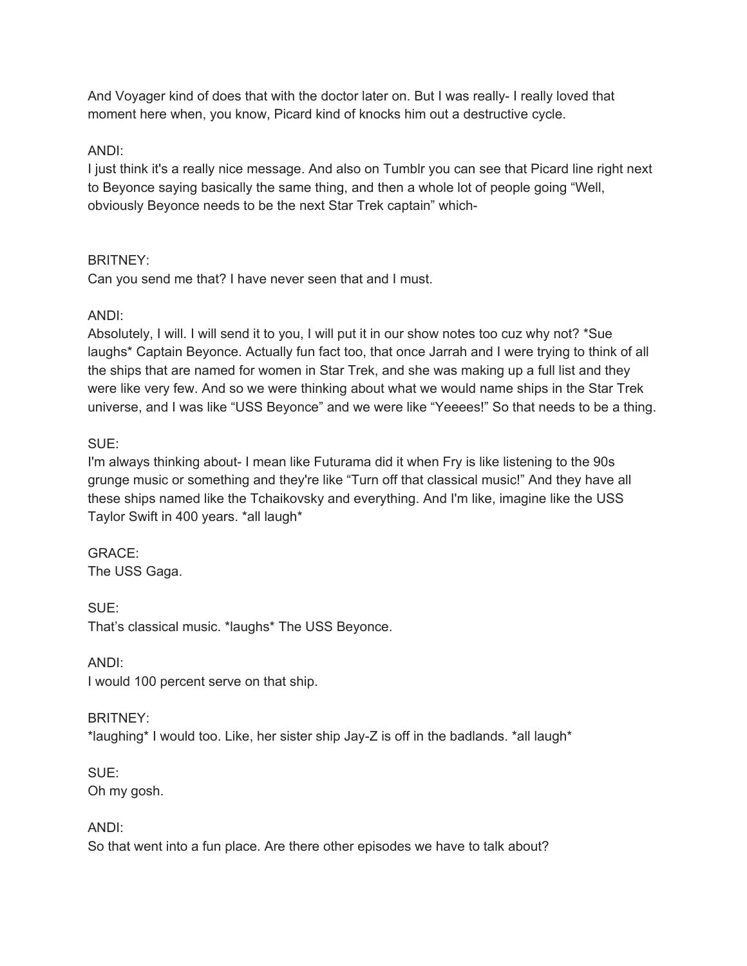And Voyager kind of does that with the doctor later on. But I was really- I really loved that moment here when, you know, Picard kind of knocks him out a destructive cycle.

# ANDI:

I just think it's a really nice message. And also on Tumblr you can see that Picard line right next to Beyonce saying basically the same thing, and then a whole lot of people going "Well, obviously Beyonce needs to be the next Star Trek captain" which-

# BRITNEY:

Can you send me that? I have never seen that and I must.

# ANDI:

Absolutely, I will. I will send it to you, I will put it in our show notes too cuz why not? \*Sue laughs\* Captain Beyonce. Actually fun fact too, that once Jarrah and I were trying to think of all the ships that are named for women in Star Trek, and she was making up a full list and they were like very few. And so we were thinking about what we would name ships in the Star Trek universe, and I was like "USS Beyonce" and we were like "Yeeees!" So that needs to be a thing.

# SUE:

I'm always thinking about- I mean like Futurama did it when Fry is like listening to the 90s grunge music or something and they're like "Turn off that classical music!" And they have all these ships named like the Tchaikovsky and everything. And I'm like, imagine like the USS Taylor Swift in 400 years. \*all laugh\*

# GRACE:

The USS Gaga.

SUE: That's classical music. \*laughs\* The USS Beyonce.

ANDI:

I would 100 percent serve on that ship.

# BRITNEY:

\*laughing\* I would too. Like, her sister ship Jay-Z is off in the badlands. \*all laugh\*

#### SUE: Oh my gosh.

# ANDI:

So that went into a fun place. Are there other episodes we have to talk about?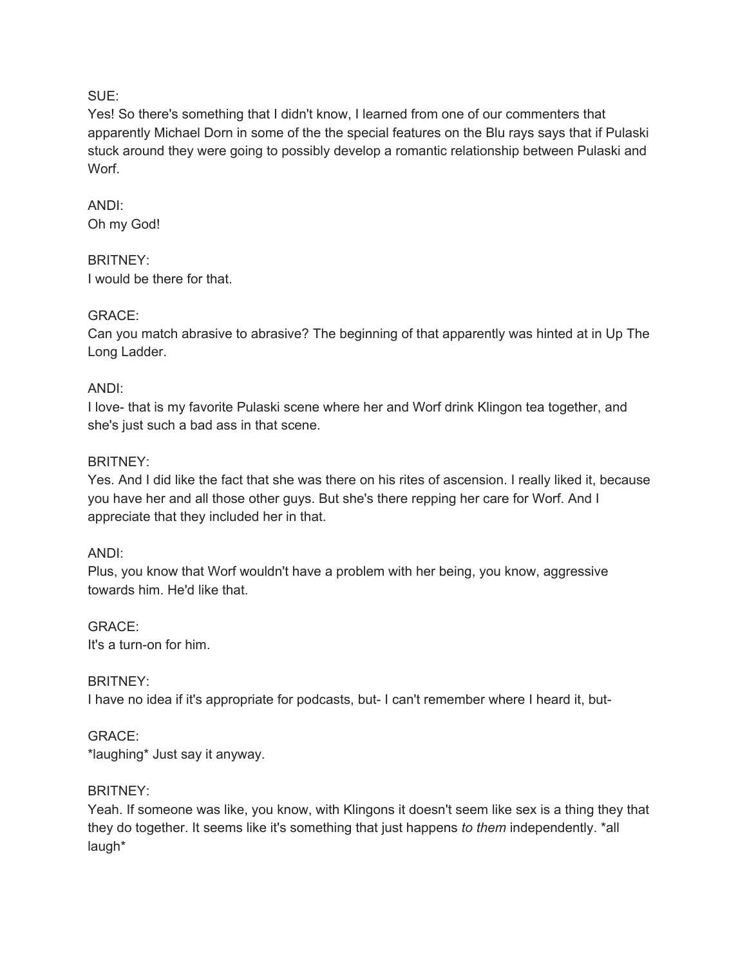### SUE:

Yes! So there's something that I didn't know, I learned from one of our commenters that apparently Michael Dorn in some of the the special features on the Blu rays says that if Pulaski stuck around they were going to possibly develop a romantic relationship between Pulaski and Worf.

# ANDI: Oh my God!

### BRITNEY: I would be there for that.

# GRACE:

Can you match abrasive to abrasive? The beginning of that apparently was hinted at in Up The Long Ladder.

# ANDI:

I love- that is my favorite Pulaski scene where her and Worf drink Klingon tea together, and she's just such a bad ass in that scene.

# BRITNEY:

Yes. And I did like the fact that she was there on his rites of ascension. I really liked it, because you have her and all those other guys. But she's there repping her care for Worf. And I appreciate that they included her in that.

# ANDI:

Plus, you know that Worf wouldn't have a problem with her being, you know, aggressive towards him. He'd like that.

GRACE: It's a turn-on for him.

# BRITNEY:

I have no idea if it's appropriate for podcasts, but- I can't remember where I heard it, but-

# GRACE:

\*laughing\* Just say it anyway.

# BRITNEY:

Yeah. If someone was like, you know, with Klingons it doesn't seem like sex is a thing they that they do together. It seems like it's something that just happens *to them* independently. \*all laugh\*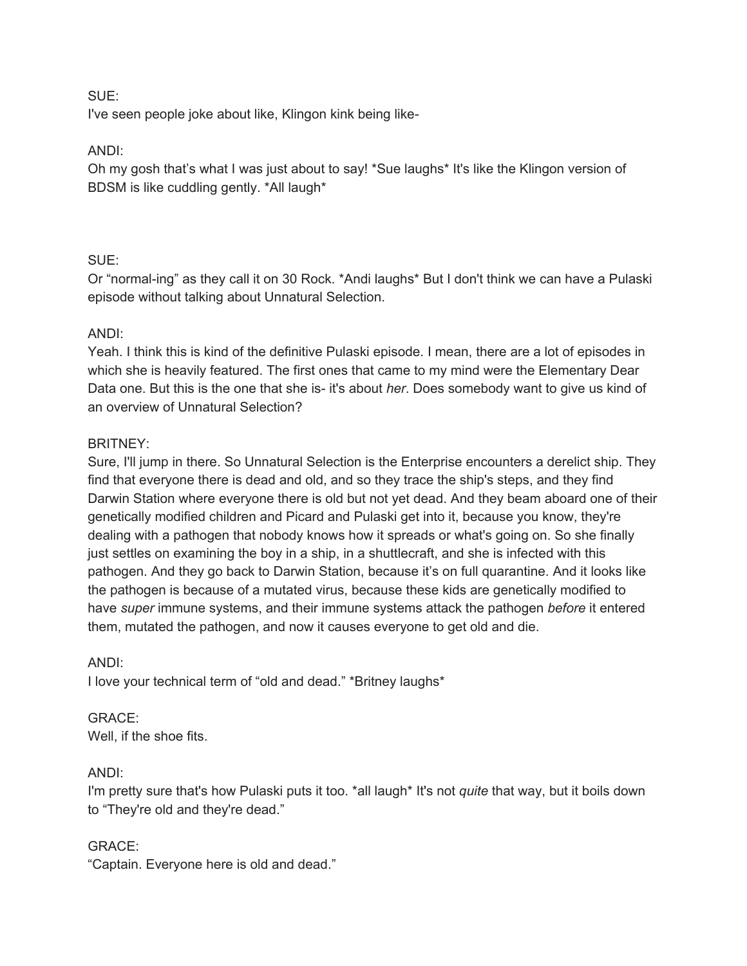#### SUE:

I've seen people joke about like, Klingon kink being like-

# ANDI:

Oh my gosh that's what I was just about to say! \*Sue laughs\* It's like the Klingon version of BDSM is like cuddling gently. \*All laugh\*

# SUE:

Or "normal-ing" as they call it on 30 Rock. \*Andi laughs\* But I don't think we can have a Pulaski episode without talking about Unnatural Selection.

# ANDI:

Yeah. I think this is kind of the definitive Pulaski episode. I mean, there are a lot of episodes in which she is heavily featured. The first ones that came to my mind were the Elementary Dear Data one. But this is the one that she is- it's about *her*. Does somebody want to give us kind of an overview of Unnatural Selection?

# BRITNEY:

Sure, I'll jump in there. So Unnatural Selection is the Enterprise encounters a derelict ship. They find that everyone there is dead and old, and so they trace the ship's steps, and they find Darwin Station where everyone there is old but not yet dead. And they beam aboard one of their genetically modified children and Picard and Pulaski get into it, because you know, they're dealing with a pathogen that nobody knows how it spreads or what's going on. So she finally just settles on examining the boy in a ship, in a shuttlecraft, and she is infected with this pathogen. And they go back to Darwin Station, because it's on full quarantine. And it looks like the pathogen is because of a mutated virus, because these kids are genetically modified to have *super* immune systems, and their immune systems attack the pathogen *before* it entered them, mutated the pathogen, and now it causes everyone to get old and die.

# ANDI:

I love your technical term of "old and dead." \*Britney laughs\*

#### GRACE: Well, if the shoe fits.

# ANDI:

I'm pretty sure that's how Pulaski puts it too. \*all laugh\* It's not *quite* that way, but it boils down to "They're old and they're dead."

# GRACE:

"Captain. Everyone here is old and dead."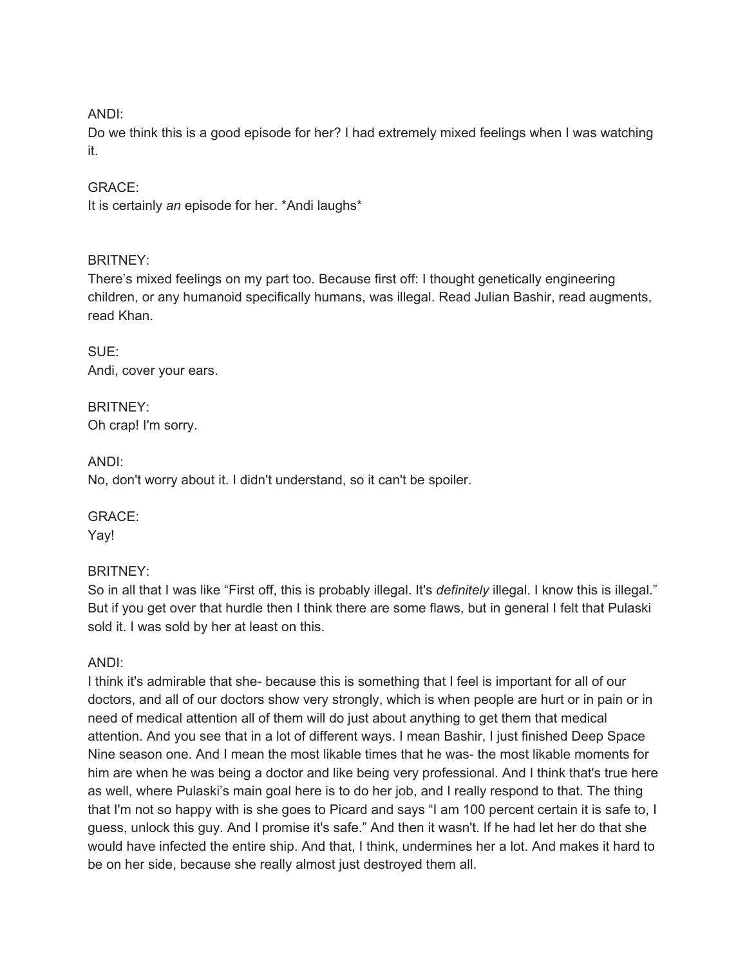### ANDI:

Do we think this is a good episode for her? I had extremely mixed feelings when I was watching it.

### GRACE:

It is certainly *an* episode for her. \*Andi laughs\*

### BRITNEY:

There's mixed feelings on my part too. Because first off: I thought genetically engineering children, or any humanoid specifically humans, was illegal. Read Julian Bashir, read augments, read Khan.

SUE: Andi, cover your ears.

BRITNEY: Oh crap! I'm sorry.

ANDI: No, don't worry about it. I didn't understand, so it can't be spoiler.

GRACE: Yay!

# BRITNEY:

So in all that I was like "First off, this is probably illegal. It's *definitely* illegal. I know this is illegal." But if you get over that hurdle then I think there are some flaws, but in general I felt that Pulaski sold it. I was sold by her at least on this.

ANDI:

I think it's admirable that she- because this is something that I feel is important for all of our doctors, and all of our doctors show very strongly, which is when people are hurt or in pain or in need of medical attention all of them will do just about anything to get them that medical attention. And you see that in a lot of different ways. I mean Bashir, I just finished Deep Space Nine season one. And I mean the most likable times that he was- the most likable moments for him are when he was being a doctor and like being very professional. And I think that's true here as well, where Pulaski's main goal here is to do her job, and I really respond to that. The thing that I'm not so happy with is she goes to Picard and says "I am 100 percent certain it is safe to, I guess, unlock this guy. And I promise it's safe." And then it wasn't. If he had let her do that she would have infected the entire ship. And that, I think, undermines her a lot. And makes it hard to be on her side, because she really almost just destroyed them all.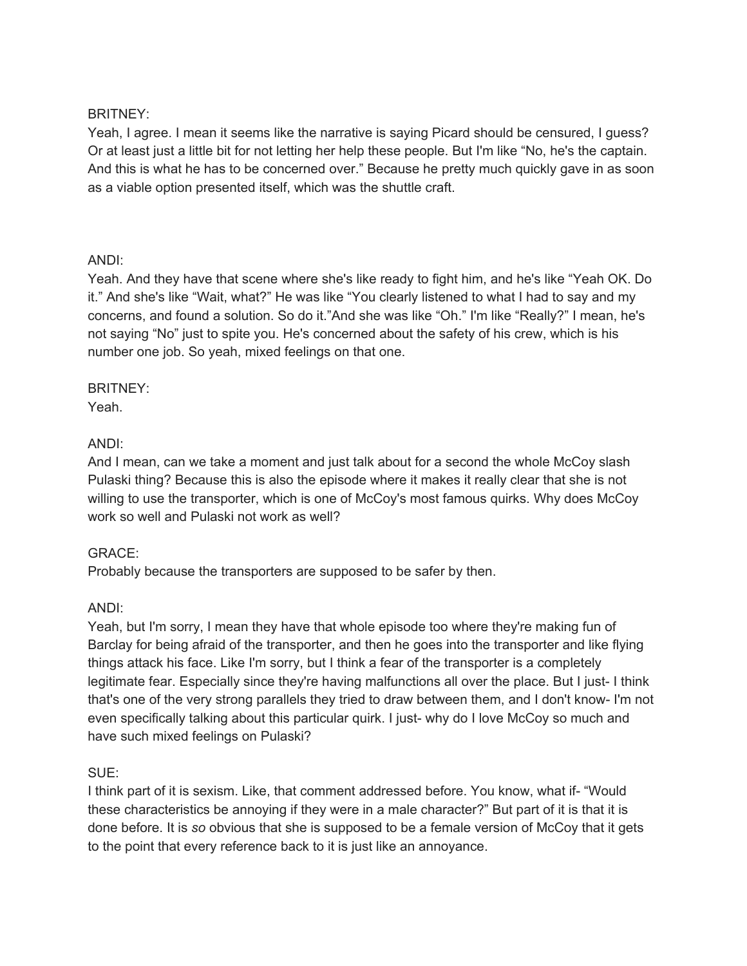### BRITNEY:

Yeah, I agree. I mean it seems like the narrative is saying Picard should be censured, I guess? Or at least just a little bit for not letting her help these people. But I'm like "No, he's the captain. And this is what he has to be concerned over." Because he pretty much quickly gave in as soon as a viable option presented itself, which was the shuttle craft.

### ANDI:

Yeah. And they have that scene where she's like ready to fight him, and he's like "Yeah OK. Do it." And she's like "Wait, what?" He was like "You clearly listened to what I had to say and my concerns, and found a solution. So do it."And she was like "Oh." I'm like "Really?" I mean, he's not saying "No" just to spite you. He's concerned about the safety of his crew, which is his number one job. So yeah, mixed feelings on that one.

# BRITNEY:

Yeah.

# ANDI:

And I mean, can we take a moment and just talk about for a second the whole McCoy slash Pulaski thing? Because this is also the episode where it makes it really clear that she is not willing to use the transporter, which is one of McCoy's most famous quirks. Why does McCoy work so well and Pulaski not work as well?

# GRACE:

Probably because the transporters are supposed to be safer by then.

# ANDI:

Yeah, but I'm sorry, I mean they have that whole episode too where they're making fun of Barclay for being afraid of the transporter, and then he goes into the transporter and like flying things attack his face. Like I'm sorry, but I think a fear of the transporter is a completely legitimate fear. Especially since they're having malfunctions all over the place. But I just- I think that's one of the very strong parallels they tried to draw between them, and I don't know- I'm not even specifically talking about this particular quirk. I just- why do I love McCoy so much and have such mixed feelings on Pulaski?

#### SUE:

I think part of it is sexism. Like, that comment addressed before. You know, what if- "Would these characteristics be annoying if they were in a male character?" But part of it is that it is done before. It is *so* obvious that she is supposed to be a female version of McCoy that it gets to the point that every reference back to it is just like an annoyance.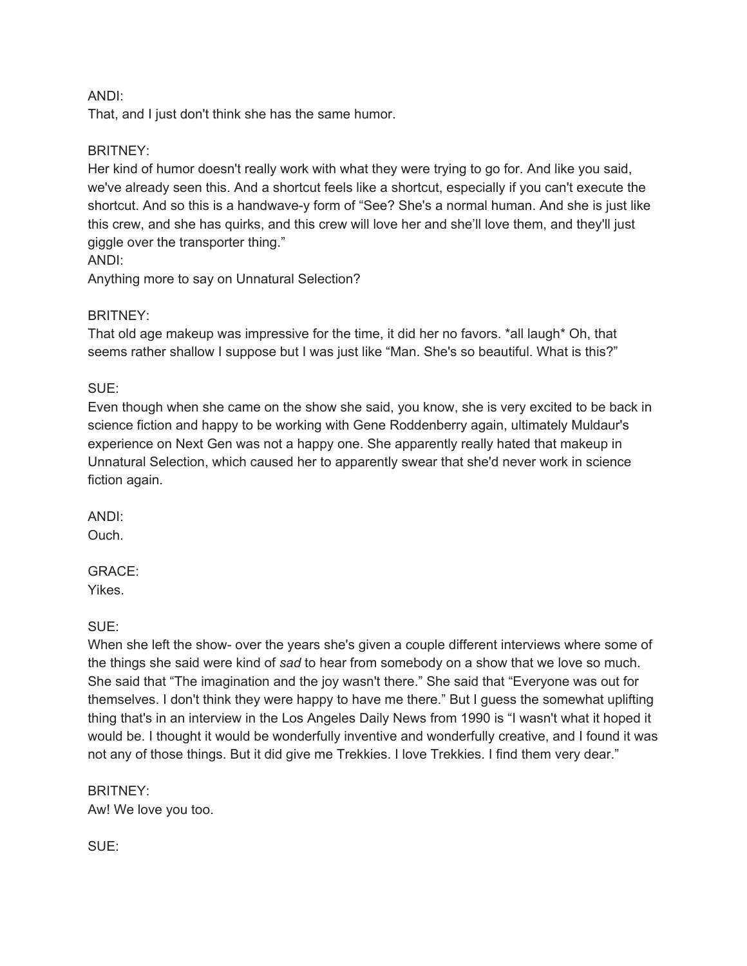### ANDI:

That, and I just don't think she has the same humor.

### BRITNEY:

Her kind of humor doesn't really work with what they were trying to go for. And like you said, we've already seen this. And a shortcut feels like a shortcut, especially if you can't execute the shortcut. And so this is a handwave-y form of "See? She's a normal human. And she is just like this crew, and she has quirks, and this crew will love her and she'll love them, and they'll just giggle over the transporter thing."

ANDI:

Anything more to say on Unnatural Selection?

### BRITNEY:

That old age makeup was impressive for the time, it did her no favors. \*all laugh\* Oh, that seems rather shallow I suppose but I was just like "Man. She's so beautiful. What is this?"

### SUE:

Even though when she came on the show she said, you know, she is very excited to be back in science fiction and happy to be working with Gene Roddenberry again, ultimately Muldaur's experience on Next Gen was not a happy one. She apparently really hated that makeup in Unnatural Selection, which caused her to apparently swear that she'd never work in science fiction again.

ANDI: Ouch.

#### GRACE: Yikes.

SUE:

When she left the show- over the years she's given a couple different interviews where some of the things she said were kind of *sad* to hear from somebody on a show that we love so much. She said that "The imagination and the joy wasn't there." She said that "Everyone was out for themselves. I don't think they were happy to have me there." But I guess the somewhat uplifting thing that's in an interview in the Los Angeles Daily News from 1990 is "I wasn't what it hoped it would be. I thought it would be wonderfully inventive and wonderfully creative, and I found it was not any of those things. But it did give me Trekkies. I love Trekkies. I find them very dear."

BRITNEY: Aw! We love you too.

SUE: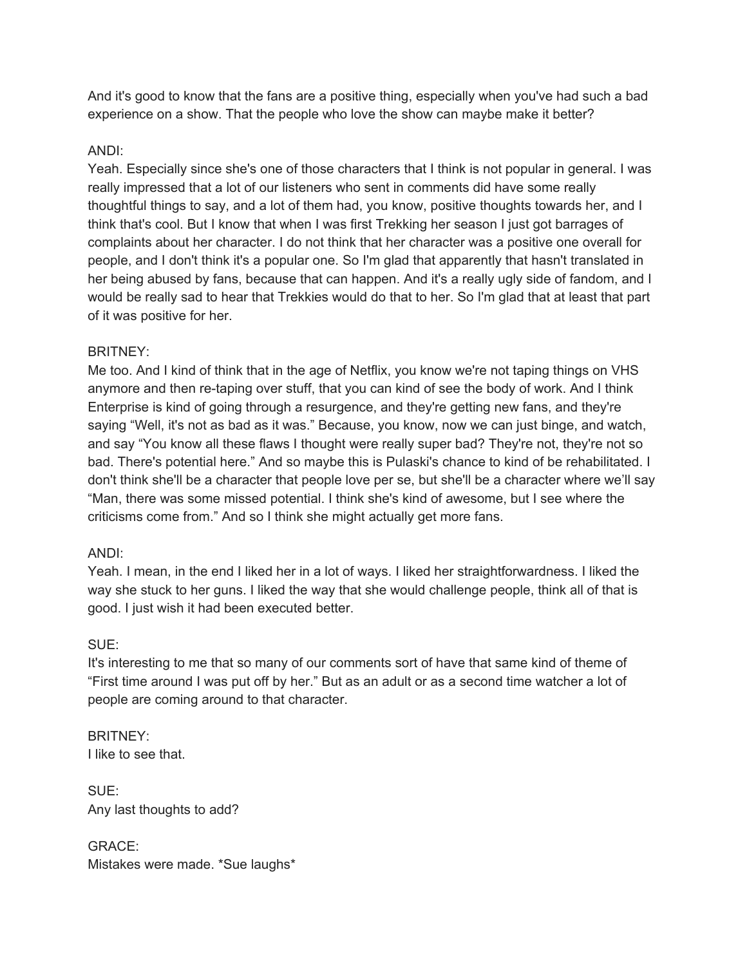And it's good to know that the fans are a positive thing, especially when you've had such a bad experience on a show. That the people who love the show can maybe make it better?

# ANDI:

Yeah. Especially since she's one of those characters that I think is not popular in general. I was really impressed that a lot of our listeners who sent in comments did have some really thoughtful things to say, and a lot of them had, you know, positive thoughts towards her, and I think that's cool. But I know that when I was first Trekking her season I just got barrages of complaints about her character. I do not think that her character was a positive one overall for people, and I don't think it's a popular one. So I'm glad that apparently that hasn't translated in her being abused by fans, because that can happen. And it's a really ugly side of fandom, and I would be really sad to hear that Trekkies would do that to her. So I'm glad that at least that part of it was positive for her.

# BRITNEY:

Me too. And I kind of think that in the age of Netflix, you know we're not taping things on VHS anymore and then re-taping over stuff, that you can kind of see the body of work. And I think Enterprise is kind of going through a resurgence, and they're getting new fans, and they're saying "Well, it's not as bad as it was." Because, you know, now we can just binge, and watch, and say "You know all these flaws I thought were really super bad? They're not, they're not so bad. There's potential here." And so maybe this is Pulaski's chance to kind of be rehabilitated. I don't think she'll be a character that people love per se, but she'll be a character where we'll say "Man, there was some missed potential. I think she's kind of awesome, but I see where the criticisms come from." And so I think she might actually get more fans.

# ANDI:

Yeah. I mean, in the end I liked her in a lot of ways. I liked her straightforwardness. I liked the way she stuck to her guns. I liked the way that she would challenge people, think all of that is good. I just wish it had been executed better.

# SUE:

It's interesting to me that so many of our comments sort of have that same kind of theme of "First time around I was put off by her." But as an adult or as a second time watcher a lot of people are coming around to that character.

BRITNEY: I like to see that.

SUE: Any last thoughts to add?

GRACE: Mistakes were made. \*Sue laughs\*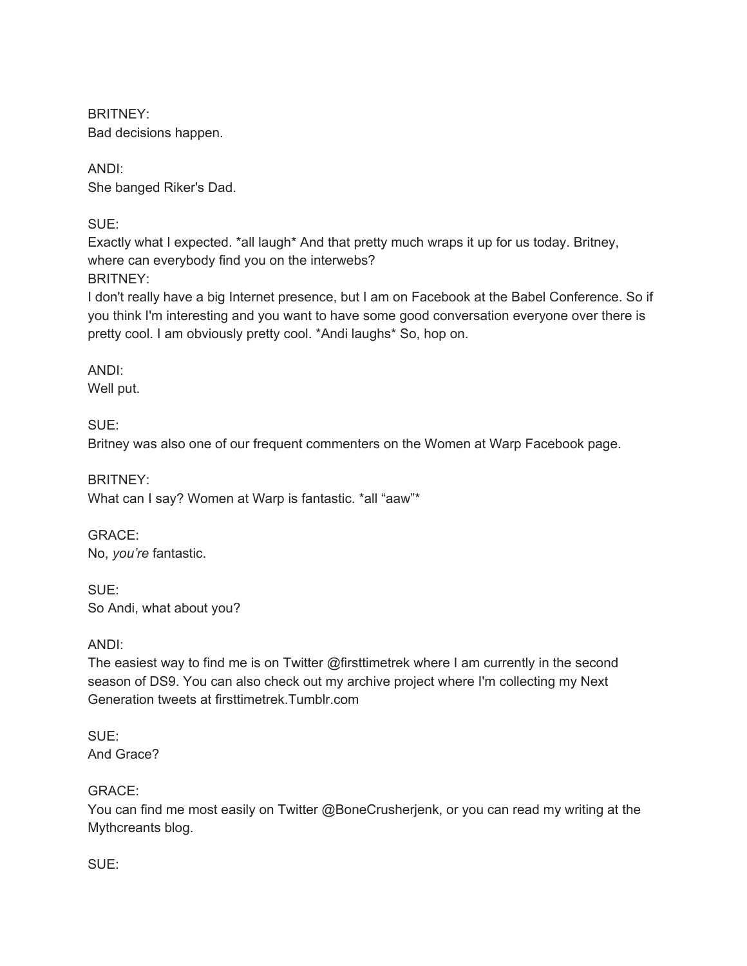BRITNEY: Bad decisions happen.

ANDI: She banged Riker's Dad.

SUE:

Exactly what I expected. \*all laugh\* And that pretty much wraps it up for us today. Britney, where can everybody find you on the interwebs? BRITNEY:

I don't really have a big Internet presence, but I am on Facebook at the Babel Conference. So if you think I'm interesting and you want to have some good conversation everyone over there is pretty cool. I am obviously pretty cool. \*Andi laughs\* So, hop on.

ANDI: Well put.

SUE: Britney was also one of our frequent commenters on the Women at Warp Facebook page.

BRITNEY: What can I say? Women at Warp is fantastic. \*all "aaw"\*

GRACE: No, *you're* fantastic.

SUE: So Andi, what about you?

ANDI:

The easiest way to find me is on Twitter @firsttimetrek where I am currently in the second season of DS9. You can also check out my archive project where I'm collecting my Next Generation tweets at firsttimetrek.Tumblr.com

SUE: And Grace?

GRACE:

You can find me most easily on Twitter @BoneCrusherjenk, or you can read my writing at the Mythcreants blog.

SUE: